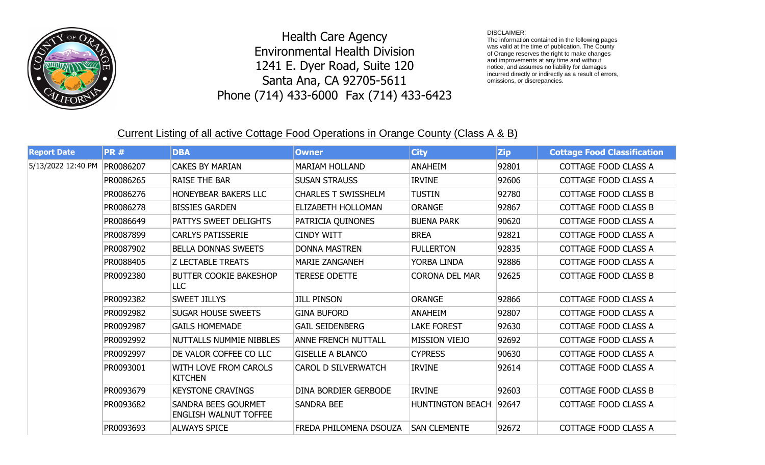

## Health Care Agency Environmental Health Division 1241 E. Dyer Road, Suite 120 Santa Ana, CA 92705-5611 Phone (714) 433-6000 Fax (714) 433-6423

## DISCLAIMER:

The information contained in the following pages was valid at the time of publication. The County of Orange reserves the right to make changes and improvements at any time and without notice, and assumes no liability for damages incurred directly or indirectly as a result of errors, omissions, or discrepancies.

## Current Listing of all active Cottage Food Operations in Orange County (Class A & B)

| <b>Report Date</b> | <b>PR#</b> | <b>DBA</b>                                                 | <b>Owner</b>               | <b>City</b>             | <b>Zip</b> | <b>Cottage Food Classification</b> |
|--------------------|------------|------------------------------------------------------------|----------------------------|-------------------------|------------|------------------------------------|
| 5/13/2022 12:40 PM | PR0086207  | <b>CAKES BY MARIAN</b>                                     | <b>MARIAM HOLLAND</b>      | <b>ANAHEIM</b>          | 92801      | <b>COTTAGE FOOD CLASS A</b>        |
|                    | PR0086265  | <b>RAISE THE BAR</b>                                       | <b>SUSAN STRAUSS</b>       | <b>IRVINE</b>           | 92606      | COTTAGE FOOD CLASS A               |
|                    | PR0086276  | <b>HONEYBEAR BAKERS LLC</b>                                | <b>CHARLES T SWISSHELM</b> | <b>TUSTIN</b>           | 92780      | <b>COTTAGE FOOD CLASS B</b>        |
|                    | PR0086278  | <b>BISSIES GARDEN</b>                                      | <b>ELIZABETH HOLLOMAN</b>  | <b>ORANGE</b>           | 92867      | <b>COTTAGE FOOD CLASS B</b>        |
|                    | PR0086649  | PATTYS SWEET DELIGHTS                                      | PATRICIA QUINONES          | <b>BUENA PARK</b>       | 90620      | <b>COTTAGE FOOD CLASS A</b>        |
|                    | PR0087899  | <b>CARLYS PATISSERIE</b>                                   | <b>CINDY WITT</b>          | <b>BREA</b>             | 92821      | COTTAGE FOOD CLASS A               |
|                    | PR0087902  | <b>BELLA DONNAS SWEETS</b>                                 | <b>DONNA MASTREN</b>       | <b>FULLERTON</b>        | 92835      | COTTAGE FOOD CLASS A               |
|                    | PR0088405  | <b>Z LECTABLE TREATS</b>                                   | <b>MARIE ZANGANEH</b>      | YORBA LINDA             | 92886      | COTTAGE FOOD CLASS A               |
|                    | PR0092380  | <b>BUTTER COOKIE BAKESHOP</b><br><b>LLC</b>                | <b>TERESE ODETTE</b>       | <b>CORONA DEL MAR</b>   | 92625      | <b>COTTAGE FOOD CLASS B</b>        |
|                    | PR0092382  | <b>SWEET JILLYS</b>                                        | <b>JILL PINSON</b>         | <b>ORANGE</b>           | 92866      | <b>COTTAGE FOOD CLASS A</b>        |
|                    | PR0092982  | <b>SUGAR HOUSE SWEETS</b>                                  | <b>GINA BUFORD</b>         | <b>ANAHEIM</b>          | 92807      | <b>COTTAGE FOOD CLASS A</b>        |
|                    | PR0092987  | <b>GAILS HOMEMADE</b>                                      | <b>GAIL SEIDENBERG</b>     | <b>LAKE FOREST</b>      | 92630      | COTTAGE FOOD CLASS A               |
|                    | PR0092992  | NUTTALLS NUMMIE NIBBLES                                    | <b>ANNE FRENCH NUTTALL</b> | <b>MISSION VIEJO</b>    | 92692      | <b>COTTAGE FOOD CLASS A</b>        |
|                    | PR0092997  | DE VALOR COFFEE CO LLC                                     | <b>GISELLE A BLANCO</b>    | <b>CYPRESS</b>          | 90630      | COTTAGE FOOD CLASS A               |
|                    | PR0093001  | WITH LOVE FROM CAROLS<br><b>KITCHEN</b>                    | <b>CAROL D SILVERWATCH</b> | <b>IRVINE</b>           | 92614      | COTTAGE FOOD CLASS A               |
|                    | PR0093679  | <b>KEYSTONE CRAVINGS</b>                                   | DINA BORDIER GERBODE       | <b>IRVINE</b>           | 92603      | <b>COTTAGE FOOD CLASS B</b>        |
|                    | PR0093682  | <b>SANDRA BEES GOURMET</b><br><b>ENGLISH WALNUT TOFFEE</b> | <b>SANDRA BEE</b>          | <b>HUNTINGTON BEACH</b> | 92647      | COTTAGE FOOD CLASS A               |
|                    | PR0093693  | <b>ALWAYS SPICE</b>                                        | FREDA PHILOMENA DSOUZA     | <b>SAN CLEMENTE</b>     | 92672      | COTTAGE FOOD CLASS A               |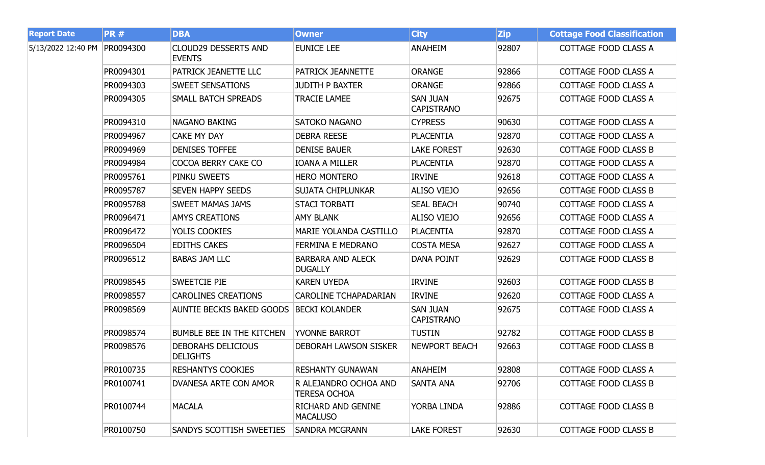| <b>Report Date</b> | <b>PR#</b> | <b>DBA</b>                                   | <b>Owner</b>                                 | <b>City</b>                          | <b>Zip</b> | <b>Cottage Food Classification</b> |
|--------------------|------------|----------------------------------------------|----------------------------------------------|--------------------------------------|------------|------------------------------------|
| 5/13/2022 12:40 PM | PR0094300  | <b>CLOUD29 DESSERTS AND</b><br><b>EVENTS</b> | <b>EUNICE LEE</b>                            | <b>ANAHEIM</b>                       | 92807      | COTTAGE FOOD CLASS A               |
|                    | PR0094301  | PATRICK JEANETTE LLC                         | PATRICK JEANNETTE                            | <b>ORANGE</b>                        | 92866      | <b>COTTAGE FOOD CLASS A</b>        |
|                    | PR0094303  | <b>SWEET SENSATIONS</b>                      | <b>JUDITH P BAXTER</b>                       | <b>ORANGE</b>                        | 92866      | COTTAGE FOOD CLASS A               |
|                    | PR0094305  | <b>SMALL BATCH SPREADS</b>                   | <b>TRACIE LAMEE</b>                          | <b>SAN JUAN</b><br><b>CAPISTRANO</b> | 92675      | COTTAGE FOOD CLASS A               |
|                    | PR0094310  | <b>NAGANO BAKING</b>                         | <b>SATOKO NAGANO</b>                         | <b>CYPRESS</b>                       | 90630      | COTTAGE FOOD CLASS A               |
|                    | PR0094967  | <b>CAKE MY DAY</b>                           | <b>DEBRA REESE</b>                           | <b>PLACENTIA</b>                     | 92870      | <b>COTTAGE FOOD CLASS A</b>        |
|                    | PR0094969  | <b>DENISES TOFFEE</b>                        | <b>DENISE BAUER</b>                          | <b>LAKE FOREST</b>                   | 92630      | <b>COTTAGE FOOD CLASS B</b>        |
|                    | PR0094984  | COCOA BERRY CAKE CO                          | <b>IOANA A MILLER</b>                        | <b>PLACENTIA</b>                     | 92870      | <b>COTTAGE FOOD CLASS A</b>        |
|                    | PR0095761  | PINKU SWEETS                                 | <b>HERO MONTERO</b>                          | <b>IRVINE</b>                        | 92618      | <b>COTTAGE FOOD CLASS A</b>        |
|                    | PR0095787  | <b>SEVEN HAPPY SEEDS</b>                     | <b>SUJATA CHIPLUNKAR</b>                     | <b>ALISO VIEJO</b>                   | 92656      | <b>COTTAGE FOOD CLASS B</b>        |
|                    | PR0095788  | <b>SWEET MAMAS JAMS</b>                      | <b>STACI TORBATI</b>                         | <b>SEAL BEACH</b>                    | 90740      | <b>COTTAGE FOOD CLASS A</b>        |
|                    | PR0096471  | <b>AMYS CREATIONS</b>                        | <b>AMY BLANK</b>                             | <b>ALISO VIEJO</b>                   | 92656      | <b>COTTAGE FOOD CLASS A</b>        |
|                    | PR0096472  | YOLIS COOKIES                                | MARIE YOLANDA CASTILLO                       | PLACENTIA                            | 92870      | <b>COTTAGE FOOD CLASS A</b>        |
|                    | PR0096504  | <b>EDITHS CAKES</b>                          | FERMINA E MEDRANO                            | <b>COSTA MESA</b>                    | 92627      | <b>COTTAGE FOOD CLASS A</b>        |
|                    | PR0096512  | <b>BABAS JAM LLC</b>                         | <b>BARBARA AND ALECK</b><br><b>DUGALLY</b>   | <b>DANA POINT</b>                    | 92629      | <b>COTTAGE FOOD CLASS B</b>        |
|                    | PR0098545  | <b>SWEETCIE PIE</b>                          | <b>KAREN UYEDA</b>                           | <b>IRVINE</b>                        | 92603      | <b>COTTAGE FOOD CLASS B</b>        |
|                    | PR0098557  | <b>CAROLINES CREATIONS</b>                   | <b>CAROLINE TCHAPADARIAN</b>                 | <b>IRVINE</b>                        | 92620      | COTTAGE FOOD CLASS A               |
|                    | PR0098569  | <b>AUNTIE BECKIS BAKED GOODS</b>             | <b>BECKI KOLANDER</b>                        | <b>SAN JUAN</b><br><b>CAPISTRANO</b> | 92675      | <b>COTTAGE FOOD CLASS A</b>        |
|                    | PR0098574  | <b>BUMBLE BEE IN THE KITCHEN</b>             | YVONNE BARROT                                | <b>TUSTIN</b>                        | 92782      | <b>COTTAGE FOOD CLASS B</b>        |
|                    | PR0098576  | <b>DEBORAHS DELICIOUS</b><br><b>DELIGHTS</b> | <b>DEBORAH LAWSON SISKER</b>                 | <b>NEWPORT BEACH</b>                 | 92663      | <b>COTTAGE FOOD CLASS B</b>        |
|                    | PR0100735  | <b>RESHANTYS COOKIES</b>                     | <b>RESHANTY GUNAWAN</b>                      | ANAHEIM                              | 92808      | COTTAGE FOOD CLASS A               |
|                    | PR0100741  | DVANESA ARTE CON AMOR                        | R ALEJANDRO OCHOA AND<br><b>TERESA OCHOA</b> | SANTA ANA                            | 92706      | <b>COTTAGE FOOD CLASS B</b>        |
|                    | PR0100744  | <b>MACALA</b>                                | <b>RICHARD AND GENINE</b><br><b>MACALUSO</b> | YORBA LINDA                          | 92886      | <b>COTTAGE FOOD CLASS B</b>        |
|                    | PR0100750  | SANDYS SCOTTISH SWEETIES                     | <b>SANDRA MCGRANN</b>                        | <b>LAKE FOREST</b>                   | 92630      | COTTAGE FOOD CLASS B               |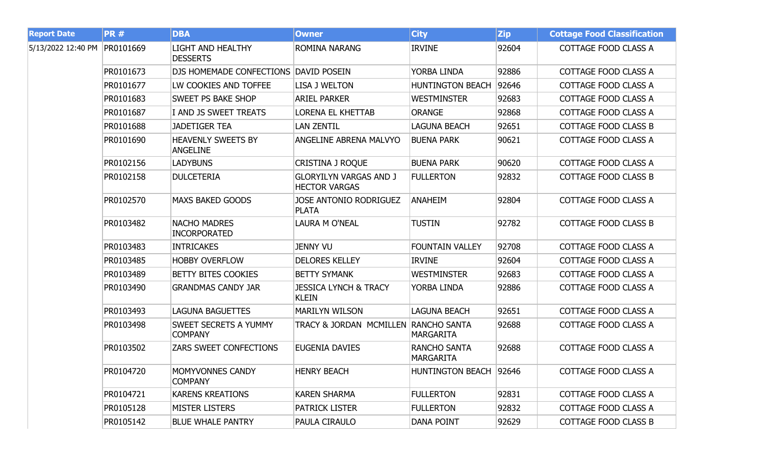| <b>Report Date</b> | <b>PR#</b> | <b>DBA</b>                                     | <b>Owner</b>                                          | <b>City</b>                             | <b>Zip</b> | <b>Cottage Food Classification</b> |
|--------------------|------------|------------------------------------------------|-------------------------------------------------------|-----------------------------------------|------------|------------------------------------|
| 5/13/2022 12:40 PM | PR0101669  | <b>LIGHT AND HEALTHY</b><br><b>DESSERTS</b>    | ROMINA NARANG                                         | <b>IRVINE</b>                           | 92604      | COTTAGE FOOD CLASS A               |
|                    | PR0101673  | DJS HOMEMADE CONFECTIONS DAVID POSEIN          |                                                       | YORBA LINDA                             | 92886      | COTTAGE FOOD CLASS A               |
|                    | PR0101677  | LW COOKIES AND TOFFEE                          | <b>LISA J WELTON</b>                                  | <b>HUNTINGTON BEACH</b>                 | 92646      | COTTAGE FOOD CLASS A               |
|                    | PR0101683  | <b>SWEET PS BAKE SHOP</b>                      | <b>ARIEL PARKER</b>                                   | <b>WESTMINSTER</b>                      | 92683      | COTTAGE FOOD CLASS A               |
|                    | PR0101687  | I AND JS SWEET TREATS                          | <b>LORENA EL KHETTAB</b>                              | <b>ORANGE</b>                           | 92868      | COTTAGE FOOD CLASS A               |
|                    | PR0101688  | <b>JADETIGER TEA</b>                           | <b>LAN ZENTIL</b>                                     | <b>LAGUNA BEACH</b>                     | 92651      | COTTAGE FOOD CLASS B               |
|                    | PR0101690  | <b>HEAVENLY SWEETS BY</b><br><b>ANGELINE</b>   | <b>ANGELINE ABRENA MALVYO</b>                         | <b>BUENA PARK</b>                       | 90621      | COTTAGE FOOD CLASS A               |
|                    | PR0102156  | <b>LADYBUNS</b>                                | <b>CRISTINA J ROQUE</b>                               | <b>BUENA PARK</b>                       | 90620      | COTTAGE FOOD CLASS A               |
|                    | PR0102158  | <b>DULCETERIA</b>                              | <b>GLORYILYN VARGAS AND J</b><br><b>HECTOR VARGAS</b> | <b>FULLERTON</b>                        | 92832      | COTTAGE FOOD CLASS B               |
|                    | PR0102570  | <b>MAXS BAKED GOODS</b>                        | JOSE ANTONIO RODRIGUEZ<br><b>PLATA</b>                | <b>ANAHEIM</b>                          | 92804      | COTTAGE FOOD CLASS A               |
|                    | PR0103482  | <b>NACHO MADRES</b><br><b>INCORPORATED</b>     | LAURA M O'NEAL                                        | <b>TUSTIN</b>                           | 92782      | COTTAGE FOOD CLASS B               |
|                    | PR0103483  | <b>INTRICAKES</b>                              | Jenny VU                                              | <b>FOUNTAIN VALLEY</b>                  | 92708      | COTTAGE FOOD CLASS A               |
|                    | PR0103485  | <b>HOBBY OVERFLOW</b>                          | <b>DELORES KELLEY</b>                                 | <b>IRVINE</b>                           | 92604      | COTTAGE FOOD CLASS A               |
|                    | PR0103489  | <b>BETTY BITES COOKIES</b>                     | <b>BETTY SYMANK</b>                                   | <b>WESTMINSTER</b>                      | 92683      | COTTAGE FOOD CLASS A               |
|                    | PR0103490  | <b>GRANDMAS CANDY JAR</b>                      | <b>JESSICA LYNCH &amp; TRACY</b><br><b>KLEIN</b>      | YORBA LINDA                             | 92886      | COTTAGE FOOD CLASS A               |
|                    | PR0103493  | <b>LAGUNA BAGUETTES</b>                        | <b>MARILYN WILSON</b>                                 | <b>LAGUNA BEACH</b>                     | 92651      | COTTAGE FOOD CLASS A               |
|                    | PR0103498  | <b>SWEET SECRETS A YUMMY</b><br><b>COMPANY</b> | TRACY & JORDAN MCMILLEN RANCHO SANTA                  | <b>MARGARITA</b>                        | 92688      | COTTAGE FOOD CLASS A               |
|                    | PR0103502  | <b>ZARS SWEET CONFECTIONS</b>                  | <b>EUGENIA DAVIES</b>                                 | <b>RANCHO SANTA</b><br><b>MARGARITA</b> | 92688      | COTTAGE FOOD CLASS A               |
|                    | PR0104720  | MOMYVONNES CANDY<br><b>COMPANY</b>             | <b>HENRY BEACH</b>                                    | HUNTINGTON BEACH 92646                  |            | COTTAGE FOOD CLASS A               |
|                    | PR0104721  | <b>KARENS KREATIONS</b>                        | <b>KAREN SHARMA</b>                                   | <b>FULLERTON</b>                        | 92831      | COTTAGE FOOD CLASS A               |
|                    | PR0105128  | <b>MISTER LISTERS</b>                          | <b>PATRICK LISTER</b>                                 | <b>FULLERTON</b>                        | 92832      | COTTAGE FOOD CLASS A               |
|                    | PR0105142  | <b>BLUE WHALE PANTRY</b>                       | PAULA CIRAULO                                         | <b>DANA POINT</b>                       | 92629      | COTTAGE FOOD CLASS B               |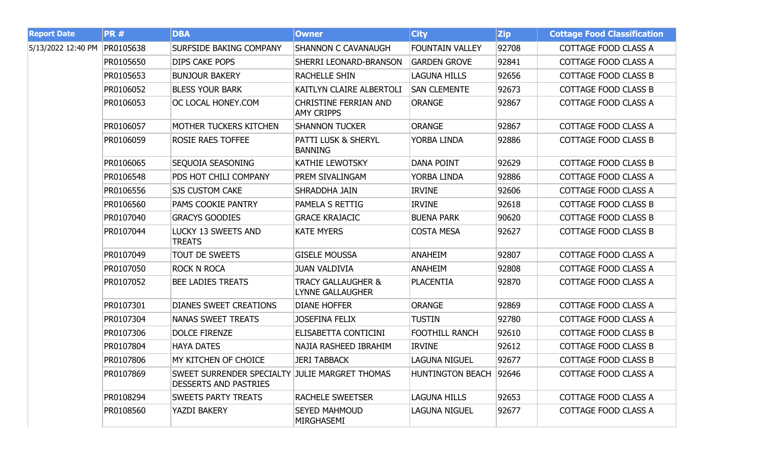| <b>Report Date</b> | <b>PR#</b> | <b>DBA</b>                                                                     | <b>Owner</b>                                             | <b>City</b>            | <b>Zip</b> | <b>Cottage Food Classification</b> |
|--------------------|------------|--------------------------------------------------------------------------------|----------------------------------------------------------|------------------------|------------|------------------------------------|
| 5/13/2022 12:40 PM | PR0105638  | <b>SURFSIDE BAKING COMPANY</b>                                                 | <b>SHANNON C CAVANAUGH</b>                               | <b>FOUNTAIN VALLEY</b> | 92708      | COTTAGE FOOD CLASS A               |
|                    | PR0105650  | DIPS CAKE POPS                                                                 | SHERRI LEONARD-BRANSON                                   | <b>GARDEN GROVE</b>    | 92841      | COTTAGE FOOD CLASS A               |
|                    | PR0105653  | <b>BUNJOUR BAKERY</b>                                                          | RACHELLE SHIN                                            | <b>LAGUNA HILLS</b>    | 92656      | <b>COTTAGE FOOD CLASS B</b>        |
|                    | PR0106052  | <b>BLESS YOUR BARK</b>                                                         | KAITLYN CLAIRE ALBERTOLI                                 | <b>SAN CLEMENTE</b>    | 92673      | <b>COTTAGE FOOD CLASS B</b>        |
|                    | PR0106053  | OC LOCAL HONEY.COM                                                             | <b>CHRISTINE FERRIAN AND</b><br><b>AMY CRIPPS</b>        | <b>ORANGE</b>          | 92867      | COTTAGE FOOD CLASS A               |
|                    | PR0106057  | <b>MOTHER TUCKERS KITCHEN</b>                                                  | <b>SHANNON TUCKER</b>                                    | <b>ORANGE</b>          | 92867      | COTTAGE FOOD CLASS A               |
|                    | PR0106059  | <b>ROSIE RAES TOFFEE</b>                                                       | PATTI LUSK & SHERYL<br><b>BANNING</b>                    | YORBA LINDA            | 92886      | <b>COTTAGE FOOD CLASS B</b>        |
|                    | PR0106065  | SEQUOIA SEASONING                                                              | <b>KATHIE LEWOTSKY</b>                                   | <b>DANA POINT</b>      | 92629      | <b>COTTAGE FOOD CLASS B</b>        |
|                    | PR0106548  | PDS HOT CHILI COMPANY                                                          | PREM SIVALINGAM                                          | YORBA LINDA            | 92886      | COTTAGE FOOD CLASS A               |
|                    | PR0106556  | <b>SJS CUSTOM CAKE</b>                                                         | SHRADDHA JAIN                                            | <b>IRVINE</b>          | 92606      | COTTAGE FOOD CLASS A               |
|                    | PR0106560  | PAMS COOKIE PANTRY                                                             | PAMELA S RETTIG                                          | <b>IRVINE</b>          | 92618      | COTTAGE FOOD CLASS B               |
|                    | PR0107040  | <b>GRACYS GOODIES</b>                                                          | <b>GRACE KRAJACIC</b>                                    | <b>BUENA PARK</b>      | 90620      | <b>COTTAGE FOOD CLASS B</b>        |
|                    | PR0107044  | LUCKY 13 SWEETS AND<br><b>TREATS</b>                                           | <b>KATE MYERS</b>                                        | <b>COSTA MESA</b>      | 92627      | <b>COTTAGE FOOD CLASS B</b>        |
|                    | PR0107049  | <b>TOUT DE SWEETS</b>                                                          | <b>GISELE MOUSSA</b>                                     | <b>ANAHEIM</b>         | 92807      | <b>COTTAGE FOOD CLASS A</b>        |
|                    | PR0107050  | <b>ROCK N ROCA</b>                                                             | <b>JUAN VALDIVIA</b>                                     | <b>ANAHEIM</b>         | 92808      | COTTAGE FOOD CLASS A               |
|                    | PR0107052  | <b>BEE LADIES TREATS</b>                                                       | <b>TRACY GALLAUGHER &amp;</b><br><b>LYNNE GALLAUGHER</b> | <b>PLACENTIA</b>       | 92870      | COTTAGE FOOD CLASS A               |
|                    | PR0107301  | <b>DIANES SWEET CREATIONS</b>                                                  | <b>DIANE HOFFER</b>                                      | <b>ORANGE</b>          | 92869      | COTTAGE FOOD CLASS A               |
|                    | PR0107304  | NANAS SWEET TREATS                                                             | <b>JOSEFINA FELIX</b>                                    | <b>TUSTIN</b>          | 92780      | COTTAGE FOOD CLASS A               |
|                    | PR0107306  | <b>DOLCE FIRENZE</b>                                                           | ELISABETTA CONTICINI                                     | <b>FOOTHILL RANCH</b>  | 92610      | <b>COTTAGE FOOD CLASS B</b>        |
|                    | PR0107804  | <b>HAYA DATES</b>                                                              | NAJIA RASHEED IBRAHIM                                    | <b>IRVINE</b>          | 92612      | <b>COTTAGE FOOD CLASS B</b>        |
|                    | PR0107806  | MY KITCHEN OF CHOICE                                                           | <b>JERI TABBACK</b>                                      | <b>LAGUNA NIGUEL</b>   | 92677      | <b>COTTAGE FOOD CLASS B</b>        |
|                    | PR0107869  | SWEET SURRENDER SPECIALTY JULIE MARGRET THOMAS<br><b>DESSERTS AND PASTRIES</b> |                                                          | HUNTINGTON BEACH 92646 |            | COTTAGE FOOD CLASS A               |
|                    | PR0108294  | <b>SWEETS PARTY TREATS</b>                                                     | RACHELE SWEETSER                                         | <b>LAGUNA HILLS</b>    | 92653      | COTTAGE FOOD CLASS A               |
|                    | PR0108560  | <b>YAZDI BAKERY</b>                                                            | <b>SEYED MAHMOUD</b><br>MIRGHASEMI                       | LAGUNA NIGUEL          | 92677      | COTTAGE FOOD CLASS A               |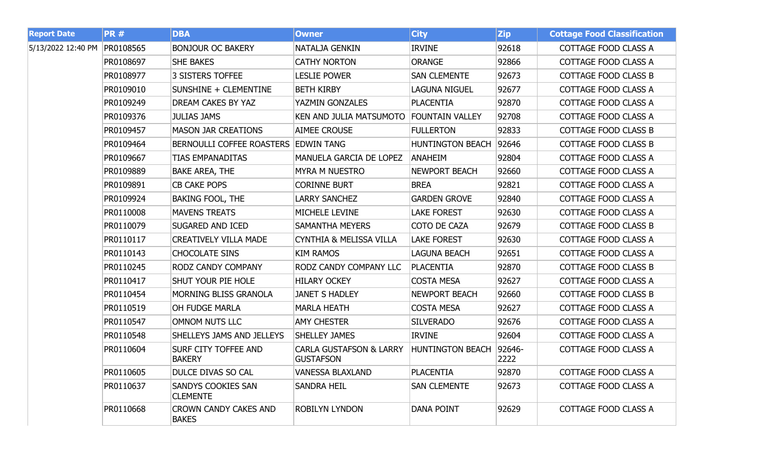| <b>Report Date</b> | <b>PR#</b> | <b>DBA</b>                                   | <b>Owner</b>                                           | <b>City</b>             | <b>Zip</b>        | <b>Cottage Food Classification</b> |
|--------------------|------------|----------------------------------------------|--------------------------------------------------------|-------------------------|-------------------|------------------------------------|
| 5/13/2022 12:40 PM | PR0108565  | <b>BONJOUR OC BAKERY</b>                     | NATALJA GENKIN                                         | <b>IRVINE</b>           | 92618             | COTTAGE FOOD CLASS A               |
|                    | PR0108697  | <b>SHE BAKES</b>                             | <b>CATHY NORTON</b>                                    | <b>ORANGE</b>           | 92866             | COTTAGE FOOD CLASS A               |
|                    | PR0108977  | 3 SISTERS TOFFEE                             | <b>LESLIE POWER</b>                                    | <b>SAN CLEMENTE</b>     | 92673             | COTTAGE FOOD CLASS B               |
|                    | PR0109010  | SUNSHINE + CLEMENTINE                        | <b>BETH KIRBY</b>                                      | <b>LAGUNA NIGUEL</b>    | 92677             | COTTAGE FOOD CLASS A               |
|                    | PR0109249  | <b>DREAM CAKES BY YAZ</b>                    | YAZMIN GONZALES                                        | <b>PLACENTIA</b>        | 92870             | COTTAGE FOOD CLASS A               |
|                    | PR0109376  | <b>JULIAS JAMS</b>                           | KEN AND JULIA MATSUMOTO FOUNTAIN VALLEY                |                         | 92708             | COTTAGE FOOD CLASS A               |
|                    | PR0109457  | <b>MASON JAR CREATIONS</b>                   | <b>AIMEE CROUSE</b>                                    | <b>FULLERTON</b>        | 92833             | <b>COTTAGE FOOD CLASS B</b>        |
|                    | PR0109464  | BERNOULLI COFFEE ROASTERS EDWIN TANG         |                                                        | <b>HUNTINGTON BEACH</b> | 92646             | COTTAGE FOOD CLASS B               |
|                    | PR0109667  | <b>TIAS EMPANADITAS</b>                      | MANUELA GARCIA DE LOPEZ                                | <b>ANAHEIM</b>          | 92804             | COTTAGE FOOD CLASS A               |
|                    | PR0109889  | <b>BAKE AREA, THE</b>                        | <b>MYRA M NUESTRO</b>                                  | <b>NEWPORT BEACH</b>    | 92660             | COTTAGE FOOD CLASS A               |
|                    | PR0109891  | <b>CB CAKE POPS</b>                          | <b>CORINNE BURT</b>                                    | <b>BREA</b>             | 92821             | COTTAGE FOOD CLASS A               |
|                    | PR0109924  | <b>BAKING FOOL, THE</b>                      | <b>LARRY SANCHEZ</b>                                   | <b>GARDEN GROVE</b>     | 92840             | COTTAGE FOOD CLASS A               |
|                    | PR0110008  | <b>MAVENS TREATS</b>                         | MICHELE LEVINE                                         | <b>LAKE FOREST</b>      | 92630             | COTTAGE FOOD CLASS A               |
|                    | PR0110079  | <b>SUGARED AND ICED</b>                      | <b>SAMANTHA MEYERS</b>                                 | COTO DE CAZA            | 92679             | COTTAGE FOOD CLASS B               |
|                    | PR0110117  | <b>CREATIVELY VILLA MADE</b>                 | <b>CYNTHIA &amp; MELISSA VILLA</b>                     | <b>LAKE FOREST</b>      | 92630             | COTTAGE FOOD CLASS A               |
|                    | PR0110143  | <b>CHOCOLATE SINS</b>                        | <b>KIM RAMOS</b>                                       | <b>LAGUNA BEACH</b>     | 92651             | COTTAGE FOOD CLASS A               |
|                    | PR0110245  | <b>RODZ CANDY COMPANY</b>                    | RODZ CANDY COMPANY LLC                                 | PLACENTIA               | 92870             | <b>COTTAGE FOOD CLASS B</b>        |
|                    | PR0110417  | SHUT YOUR PIE HOLE                           | <b>HILARY OCKEY</b>                                    | <b>COSTA MESA</b>       | 92627             | COTTAGE FOOD CLASS A               |
|                    | PR0110454  | MORNING BLISS GRANOLA                        | <b>JANET S HADLEY</b>                                  | <b>NEWPORT BEACH</b>    | 92660             | <b>COTTAGE FOOD CLASS B</b>        |
|                    | PR0110519  | OH FUDGE MARLA                               | <b>MARLA HEATH</b>                                     | <b>COSTA MESA</b>       | 92627             | COTTAGE FOOD CLASS A               |
|                    | PR0110547  | OMNOM NUTS LLC                               | <b>AMY CHESTER</b>                                     | <b>SILVERADO</b>        | 92676             | COTTAGE FOOD CLASS A               |
|                    | PR0110548  | SHELLEYS JAMS AND JELLEYS                    | <b>SHELLEY JAMES</b>                                   | <b>IRVINE</b>           | 92604             | COTTAGE FOOD CLASS A               |
|                    | PR0110604  | <b>SURF CITY TOFFEE AND</b><br><b>BAKERY</b> | <b>CARLA GUSTAFSON &amp; LARRY</b><br><b>GUSTAFSON</b> | HUNTINGTON BEACH        | $ 92646-$<br>2222 | COTTAGE FOOD CLASS A               |
|                    | PR0110605  | DULCE DIVAS SO CAL                           | <b>VANESSA BLAXLAND</b>                                | <b>PLACENTIA</b>        | 92870             | COTTAGE FOOD CLASS A               |
|                    | PR0110637  | <b>SANDYS COOKIES SAN</b><br><b>CLEMENTE</b> | <b>SANDRA HEIL</b>                                     | <b>SAN CLEMENTE</b>     | 92673             | COTTAGE FOOD CLASS A               |
|                    | PR0110668  | <b>CROWN CANDY CAKES AND</b><br><b>BAKES</b> | <b>ROBILYN LYNDON</b>                                  | <b>DANA POINT</b>       | 92629             | COTTAGE FOOD CLASS A               |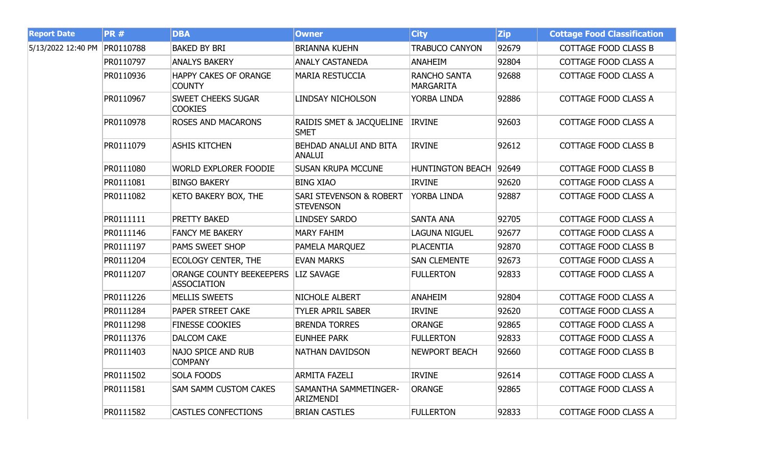| <b>Report Date</b>           | <b>PR#</b> | <b>DBA</b>                                     | <b>Owner</b>                                           | <b>City</b>                             | <b>Zip</b> | <b>Cottage Food Classification</b> |
|------------------------------|------------|------------------------------------------------|--------------------------------------------------------|-----------------------------------------|------------|------------------------------------|
| 5/13/2022 12:40 PM PR0110788 |            | <b>BAKED BY BRI</b>                            | <b>BRIANNA KUEHN</b>                                   | <b>TRABUCO CANYON</b>                   | 92679      | <b>COTTAGE FOOD CLASS B</b>        |
|                              | PR0110797  | <b>ANALYS BAKERY</b>                           | <b>ANALY CASTANEDA</b>                                 | <b>ANAHEIM</b>                          | 92804      | COTTAGE FOOD CLASS A               |
|                              | PR0110936  | <b>HAPPY CAKES OF ORANGE</b><br><b>COUNTY</b>  | <b>MARIA RESTUCCIA</b>                                 | <b>RANCHO SANTA</b><br><b>MARGARITA</b> | 92688      | COTTAGE FOOD CLASS A               |
|                              | PR0110967  | <b>SWEET CHEEKS SUGAR</b><br><b>COOKIES</b>    | <b>LINDSAY NICHOLSON</b>                               | YORBA LINDA                             | 92886      | COTTAGE FOOD CLASS A               |
|                              | PR0110978  | <b>ROSES AND MACARONS</b>                      | RAIDIS SMET & JACQUELINE<br><b>SMET</b>                | <b>IRVINE</b>                           | 92603      | COTTAGE FOOD CLASS A               |
|                              | PR0111079  | <b>ASHIS KITCHEN</b>                           | BEHDAD ANALUI AND BITA<br><b>ANALUI</b>                | <b>IRVINE</b>                           | 92612      | COTTAGE FOOD CLASS B               |
|                              | PR0111080  | <b>WORLD EXPLORER FOODIE</b>                   | <b>SUSAN KRUPA MCCUNE</b>                              | HUNTINGTON BEACH 92649                  |            | <b>COTTAGE FOOD CLASS B</b>        |
|                              | PR0111081  | <b>BINGO BAKERY</b>                            | <b>BING XIAO</b>                                       | <b>IRVINE</b>                           | 92620      | COTTAGE FOOD CLASS A               |
|                              | PR0111082  | <b>KETO BAKERY BOX, THE</b>                    | <b>SARI STEVENSON &amp; ROBERT</b><br><b>STEVENSON</b> | YORBA LINDA                             | 92887      | COTTAGE FOOD CLASS A               |
|                              | PR0111111  | <b>PRETTY BAKED</b>                            | <b>LINDSEY SARDO</b>                                   | <b>SANTA ANA</b>                        | 92705      | COTTAGE FOOD CLASS A               |
|                              | PR0111146  | <b>FANCY ME BAKERY</b>                         | <b>MARY FAHIM</b>                                      | <b>LAGUNA NIGUEL</b>                    | 92677      | COTTAGE FOOD CLASS A               |
|                              | PR0111197  | <b>PAMS SWEET SHOP</b>                         | <b>PAMELA MARQUEZ</b>                                  | <b>PLACENTIA</b>                        | 92870      | <b>COTTAGE FOOD CLASS B</b>        |
|                              | PR0111204  | <b>ECOLOGY CENTER, THE</b>                     | <b>EVAN MARKS</b>                                      | <b>SAN CLEMENTE</b>                     | 92673      | COTTAGE FOOD CLASS A               |
|                              | PR0111207  | ORANGE COUNTY BEEKEEPERS<br><b>ASSOCIATION</b> | <b>LIZ SAVAGE</b>                                      | <b>FULLERTON</b>                        | 92833      | COTTAGE FOOD CLASS A               |
|                              | PR0111226  | <b>MELLIS SWEETS</b>                           | NICHOLE ALBERT                                         | <b>ANAHEIM</b>                          | 92804      | COTTAGE FOOD CLASS A               |
|                              | PR0111284  | <b>PAPER STREET CAKE</b>                       | <b>TYLER APRIL SABER</b>                               | <b>IRVINE</b>                           | 92620      | COTTAGE FOOD CLASS A               |
|                              | PR0111298  | <b>FINESSE COOKIES</b>                         | <b>BRENDA TORRES</b>                                   | <b>ORANGE</b>                           | 92865      | COTTAGE FOOD CLASS A               |
|                              | PR0111376  | <b>DALCOM CAKE</b>                             | <b>EUNHEE PARK</b>                                     | <b>FULLERTON</b>                        | 92833      | COTTAGE FOOD CLASS A               |
|                              | PR0111403  | NAJO SPICE AND RUB<br><b>COMPANY</b>           | NATHAN DAVIDSON                                        | <b>NEWPORT BEACH</b>                    | 92660      | COTTAGE FOOD CLASS B               |
|                              | PR0111502  | <b>SOLA FOODS</b>                              | <b>ARMITA FAZELI</b>                                   | <b>IRVINE</b>                           | 92614      | COTTAGE FOOD CLASS A               |
|                              | PR0111581  | <b>SAM SAMM CUSTOM CAKES</b>                   | SAMANTHA SAMMETINGER-<br>ARIZMENDI                     | <b>ORANGE</b>                           | 92865      | COTTAGE FOOD CLASS A               |
|                              | PR0111582  | <b>CASTLES CONFECTIONS</b>                     | <b>BRIAN CASTLES</b>                                   | <b>FULLERTON</b>                        | 92833      | COTTAGE FOOD CLASS A               |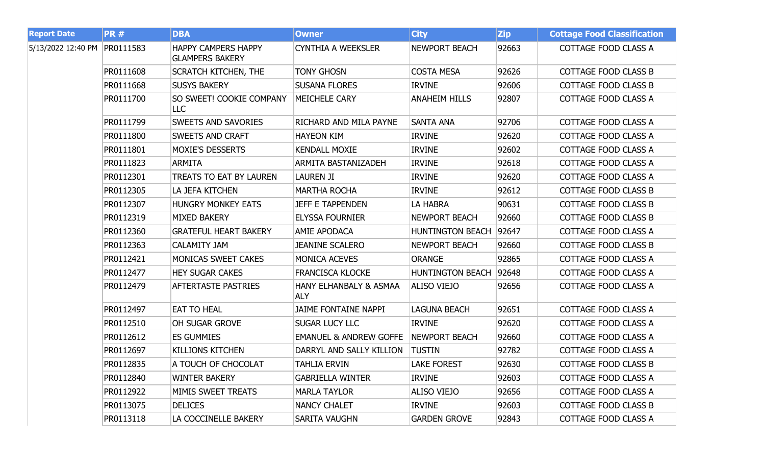| <b>Report Date</b>           | <b>PR#</b> | <b>DBA</b>                                           | <b>Owner</b>                         | <b>City</b>             | <b>Zip</b> | <b>Cottage Food Classification</b> |
|------------------------------|------------|------------------------------------------------------|--------------------------------------|-------------------------|------------|------------------------------------|
| 5/13/2022 12:40 PM PR0111583 |            | <b>HAPPY CAMPERS HAPPY</b><br><b>GLAMPERS BAKERY</b> | <b>CYNTHIA A WEEKSLER</b>            | <b>NEWPORT BEACH</b>    | 92663      | COTTAGE FOOD CLASS A               |
|                              | PR0111608  | <b>SCRATCH KITCHEN, THE</b>                          | <b>TONY GHOSN</b>                    | <b>COSTA MESA</b>       | 92626      | <b>COTTAGE FOOD CLASS B</b>        |
|                              | PR0111668  | <b>SUSYS BAKERY</b>                                  | <b>SUSANA FLORES</b>                 | <b>IRVINE</b>           | 92606      | COTTAGE FOOD CLASS B               |
|                              | PR0111700  | SO SWEET! COOKIE COMPANY<br>LLC                      | <b>MEICHELE CARY</b>                 | <b>ANAHEIM HILLS</b>    | 92807      | COTTAGE FOOD CLASS A               |
|                              | PR0111799  | <b>SWEETS AND SAVORIES</b>                           | RICHARD AND MILA PAYNE               | <b>SANTA ANA</b>        | 92706      | COTTAGE FOOD CLASS A               |
|                              | PR0111800  | <b>SWEETS AND CRAFT</b>                              | <b>HAYEON KIM</b>                    | <b>IRVINE</b>           | 92620      | COTTAGE FOOD CLASS A               |
|                              | PR0111801  | <b>MOXIE'S DESSERTS</b>                              | <b>KENDALL MOXIE</b>                 | <b>IRVINE</b>           | 92602      | COTTAGE FOOD CLASS A               |
|                              | PR0111823  | <b>ARMITA</b>                                        | <b>ARMITA BASTANIZADEH</b>           | <b>IRVINE</b>           | 92618      | COTTAGE FOOD CLASS A               |
|                              | PR0112301  | TREATS TO EAT BY LAUREN                              | <b>LAUREN JI</b>                     | <b>IRVINE</b>           | 92620      | COTTAGE FOOD CLASS A               |
|                              | PR0112305  | LA JEFA KITCHEN                                      | <b>MARTHA ROCHA</b>                  | <b>IRVINE</b>           | 92612      | <b>COTTAGE FOOD CLASS B</b>        |
|                              | PR0112307  | <b>HUNGRY MONKEY EATS</b>                            | <b>JEFF E TAPPENDEN</b>              | LA HABRA                | 90631      | COTTAGE FOOD CLASS B               |
|                              | PR0112319  | <b>MIXED BAKERY</b>                                  | <b>ELYSSA FOURNIER</b>               | <b>NEWPORT BEACH</b>    | 92660      | COTTAGE FOOD CLASS B               |
|                              | PR0112360  | <b>GRATEFUL HEART BAKERY</b>                         | <b>AMIE APODACA</b>                  | <b>HUNTINGTON BEACH</b> | 92647      | COTTAGE FOOD CLASS A               |
|                              | PR0112363  | <b>CALAMITY JAM</b>                                  | <b>JEANINE SCALERO</b>               | <b>NEWPORT BEACH</b>    | 92660      | COTTAGE FOOD CLASS B               |
|                              | PR0112421  | MONICAS SWEET CAKES                                  | <b>MONICA ACEVES</b>                 | <b>ORANGE</b>           | 92865      | COTTAGE FOOD CLASS A               |
|                              | PR0112477  | <b>HEY SUGAR CAKES</b>                               | <b>FRANCISCA KLOCKE</b>              | HUNTINGTON BEACH 92648  |            | COTTAGE FOOD CLASS A               |
|                              | PR0112479  | <b>AFTERTASTE PASTRIES</b>                           | HANY ELHANBALY & ASMAA<br><b>ALY</b> | <b>ALISO VIEJO</b>      | 92656      | COTTAGE FOOD CLASS A               |
|                              | PR0112497  | <b>EAT TO HEAL</b>                                   | <b>JAIME FONTAINE NAPPI</b>          | <b>LAGUNA BEACH</b>     | 92651      | COTTAGE FOOD CLASS A               |
|                              | PR0112510  | OH SUGAR GROVE                                       | <b>SUGAR LUCY LLC</b>                | <b>IRVINE</b>           | 92620      | COTTAGE FOOD CLASS A               |
|                              | PR0112612  | <b>ES GUMMIES</b>                                    | <b>EMANUEL &amp; ANDREW GOFFE</b>    | <b>NEWPORT BEACH</b>    | 92660      | COTTAGE FOOD CLASS A               |
|                              | PR0112697  | <b>KILLIONS KITCHEN</b>                              | DARRYL AND SALLY KILLION             | <b>TUSTIN</b>           | 92782      | COTTAGE FOOD CLASS A               |
|                              | PR0112835  | A TOUCH OF CHOCOLAT                                  | <b>TAHLIA ERVIN</b>                  | <b>LAKE FOREST</b>      | 92630      | <b>COTTAGE FOOD CLASS B</b>        |
|                              | PR0112840  | <b>WINTER BAKERY</b>                                 | <b>GABRIELLA WINTER</b>              | <b>IRVINE</b>           | 92603      | COTTAGE FOOD CLASS A               |
|                              | PR0112922  | MIMIS SWEET TREATS                                   | <b>MARLA TAYLOR</b>                  | <b>ALISO VIEJO</b>      | 92656      | COTTAGE FOOD CLASS A               |
|                              | PR0113075  | <b>DELICES</b>                                       | <b>NANCY CHALET</b>                  | <b>IRVINE</b>           | 92603      | COTTAGE FOOD CLASS B               |
|                              | PR0113118  | LA COCCINELLE BAKERY                                 | <b>SARITA VAUGHN</b>                 | <b>GARDEN GROVE</b>     | 92843      | COTTAGE FOOD CLASS A               |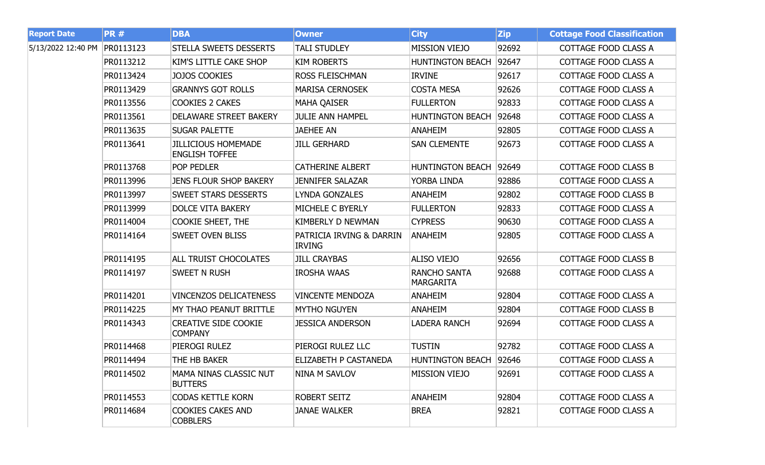| <b>Report Date</b> | <b>PR#</b> | <b>DBA</b>                                          | <b>Owner</b>                              | <b>City</b>                      | <b>Zip</b> | <b>Cottage Food Classification</b> |
|--------------------|------------|-----------------------------------------------------|-------------------------------------------|----------------------------------|------------|------------------------------------|
| 5/13/2022 12:40 PM | PR0113123  | <b>STELLA SWEETS DESSERTS</b>                       | <b>TALI STUDLEY</b>                       | <b>MISSION VIEJO</b>             | 92692      | COTTAGE FOOD CLASS A               |
|                    | PR0113212  | KIM'S LITTLE CAKE SHOP                              | <b>KIM ROBERTS</b>                        | <b>HUNTINGTON BEACH</b>          | 92647      | COTTAGE FOOD CLASS A               |
|                    | PR0113424  | <b>JOJOS COOKIES</b>                                | <b>ROSS FLEISCHMAN</b>                    | <b>IRVINE</b>                    | 92617      | COTTAGE FOOD CLASS A               |
|                    | PR0113429  | <b>GRANNYS GOT ROLLS</b>                            | <b>MARISA CERNOSEK</b>                    | <b>COSTA MESA</b>                | 92626      | COTTAGE FOOD CLASS A               |
|                    | PR0113556  | <b>COOKIES 2 CAKES</b>                              | <b>MAHA QAISER</b>                        | <b>FULLERTON</b>                 | 92833      | COTTAGE FOOD CLASS A               |
|                    | PR0113561  | DELAWARE STREET BAKERY                              | <b>JULIE ANN HAMPEL</b>                   | <b>HUNTINGTON BEACH</b>          | 92648      | COTTAGE FOOD CLASS A               |
|                    | PR0113635  | <b>SUGAR PALETTE</b>                                | <b>JAEHEE AN</b>                          | <b>ANAHEIM</b>                   | 92805      | COTTAGE FOOD CLASS A               |
|                    | PR0113641  | <b>JILLICIOUS HOMEMADE</b><br><b>ENGLISH TOFFEE</b> | <b>JILL GERHARD</b>                       | <b>SAN CLEMENTE</b>              | 92673      | COTTAGE FOOD CLASS A               |
|                    | PR0113768  | POP PEDLER                                          | <b>CATHERINE ALBERT</b>                   | <b>HUNTINGTON BEACH</b>          | 92649      | <b>COTTAGE FOOD CLASS B</b>        |
|                    | PR0113996  | <b>JENS FLOUR SHOP BAKERY</b>                       | <b>JENNIFER SALAZAR</b>                   | YORBA LINDA                      | 92886      | COTTAGE FOOD CLASS A               |
|                    | PR0113997  | <b>SWEET STARS DESSERTS</b>                         | <b>LYNDA GONZALES</b>                     | <b>ANAHEIM</b>                   | 92802      | <b>COTTAGE FOOD CLASS B</b>        |
|                    | PR0113999  | <b>DOLCE VITA BAKERY</b>                            | MICHELE C BYERLY                          | <b>FULLERTON</b>                 | 92833      | COTTAGE FOOD CLASS A               |
|                    | PR0114004  | <b>COOKIE SHEET, THE</b>                            | <b>KIMBERLY D NEWMAN</b>                  | <b>CYPRESS</b>                   | 90630      | COTTAGE FOOD CLASS A               |
|                    | PR0114164  | <b>SWEET OVEN BLISS</b>                             | PATRICIA IRVING & DARRIN<br><b>IRVING</b> | <b>ANAHEIM</b>                   | 92805      | COTTAGE FOOD CLASS A               |
|                    | PR0114195  | <b>ALL TRUIST CHOCOLATES</b>                        | <b>JILL CRAYBAS</b>                       | <b>ALISO VIEJO</b>               | 92656      | COTTAGE FOOD CLASS B               |
|                    | PR0114197  | <b>SWEET N RUSH</b>                                 | <b>IROSHA WAAS</b>                        | <b>RANCHO SANTA</b><br>MARGARITA | 92688      | COTTAGE FOOD CLASS A               |
|                    | PR0114201  | <b>VINCENZOS DELICATENESS</b>                       | <b>VINCENTE MENDOZA</b>                   | <b>ANAHEIM</b>                   | 92804      | COTTAGE FOOD CLASS A               |
|                    | PR0114225  | MY THAO PEANUT BRITTLE                              | <b>MYTHO NGUYEN</b>                       | <b>ANAHEIM</b>                   | 92804      | <b>COTTAGE FOOD CLASS B</b>        |
|                    | PR0114343  | <b>CREATIVE SIDE COOKIE</b><br><b>COMPANY</b>       | <b>JESSICA ANDERSON</b>                   | LADERA RANCH                     | 92694      | COTTAGE FOOD CLASS A               |
|                    | PR0114468  | PIEROGI RULEZ                                       | PIEROGI RULEZ LLC                         | <b>TUSTIN</b>                    | 92782      | COTTAGE FOOD CLASS A               |
|                    | PR0114494  | THE HB BAKER                                        | ELIZABETH P CASTANEDA                     | <b>HUNTINGTON BEACH</b>          | 92646      | COTTAGE FOOD CLASS A               |
|                    | PR0114502  | MAMA NINAS CLASSIC NUT<br><b>BUTTERS</b>            | <b>NINA M SAVLOV</b>                      | <b>MISSION VIEJO</b>             | 92691      | <b>COTTAGE FOOD CLASS A</b>        |
|                    | PR0114553  | <b>CODAS KETTLE KORN</b>                            | <b>ROBERT SEITZ</b>                       | <b>ANAHEIM</b>                   | 92804      | COTTAGE FOOD CLASS A               |
|                    | PR0114684  | <b>COOKIES CAKES AND</b><br><b>COBBLERS</b>         | <b>JANAE WALKER</b>                       | <b>BREA</b>                      | 92821      | COTTAGE FOOD CLASS A               |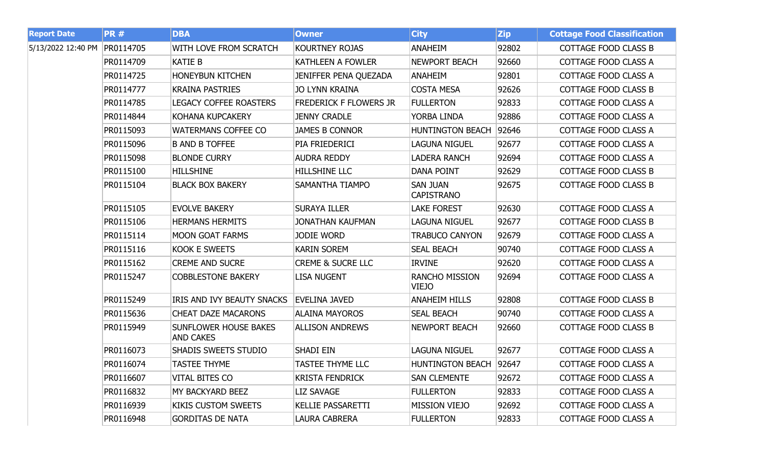| <b>Report Date</b> | <b>PR#</b> | <b>DBA</b>                                       | <b>Owner</b>                  | <b>City</b>                           | <b>Zip</b> | <b>Cottage Food Classification</b> |
|--------------------|------------|--------------------------------------------------|-------------------------------|---------------------------------------|------------|------------------------------------|
| 5/13/2022 12:40 PM | PR0114705  | WITH LOVE FROM SCRATCH                           | KOURTNEY ROJAS                | <b>ANAHEIM</b>                        | 92802      | <b>COTTAGE FOOD CLASS B</b>        |
|                    | PR0114709  | <b>KATIE B</b>                                   | <b>KATHLEEN A FOWLER</b>      | <b>NEWPORT BEACH</b>                  | 92660      | COTTAGE FOOD CLASS A               |
|                    | PR0114725  | <b>HONEYBUN KITCHEN</b>                          | <b>JENIFFER PENA QUEZADA</b>  | <b>ANAHEIM</b>                        | 92801      | COTTAGE FOOD CLASS A               |
|                    | PR0114777  | <b>KRAINA PASTRIES</b>                           | <b>JO LYNN KRAINA</b>         | <b>COSTA MESA</b>                     | 92626      | <b>COTTAGE FOOD CLASS B</b>        |
|                    | PR0114785  | <b>LEGACY COFFEE ROASTERS</b>                    | <b>FREDERICK F FLOWERS JR</b> | <b>FULLERTON</b>                      | 92833      | COTTAGE FOOD CLASS A               |
|                    | PR0114844  | KOHANA KUPCAKERY                                 | <b>JENNY CRADLE</b>           | YORBA LINDA                           | 92886      | COTTAGE FOOD CLASS A               |
|                    | PR0115093  | <b>WATERMANS COFFEE CO</b>                       | <b>JAMES B CONNOR</b>         | <b>HUNTINGTON BEACH</b>               | 92646      | COTTAGE FOOD CLASS A               |
|                    | PR0115096  | <b>B AND B TOFFEE</b>                            | PIA FRIEDERICI                | <b>LAGUNA NIGUEL</b>                  | 92677      | COTTAGE FOOD CLASS A               |
|                    | PR0115098  | <b>BLONDE CURRY</b>                              | <b>AUDRA REDDY</b>            | <b>LADERA RANCH</b>                   | 92694      | COTTAGE FOOD CLASS A               |
|                    | PR0115100  | <b>HILLSHINE</b>                                 | <b>HILLSHINE LLC</b>          | <b>DANA POINT</b>                     | 92629      | COTTAGE FOOD CLASS B               |
|                    | PR0115104  | <b>BLACK BOX BAKERY</b>                          | <b>SAMANTHA TIAMPO</b>        | <b>SAN JUAN</b><br><b>CAPISTRANO</b>  | 92675      | COTTAGE FOOD CLASS B               |
|                    | PR0115105  | <b>EVOLVE BAKERY</b>                             | <b>SURAYA ILLER</b>           | <b>LAKE FOREST</b>                    | 92630      | <b>COTTAGE FOOD CLASS A</b>        |
|                    | PR0115106  | <b>HERMANS HERMITS</b>                           | <b>JONATHAN KAUFMAN</b>       | <b>LAGUNA NIGUEL</b>                  | 92677      | <b>COTTAGE FOOD CLASS B</b>        |
|                    | PR0115114  | <b>MOON GOAT FARMS</b>                           | <b>JODIE WORD</b>             | <b>TRABUCO CANYON</b>                 | 92679      | COTTAGE FOOD CLASS A               |
|                    | PR0115116  | KOOK E SWEETS                                    | <b>KARIN SOREM</b>            | <b>SEAL BEACH</b>                     | 90740      | COTTAGE FOOD CLASS A               |
|                    | PR0115162  | <b>CREME AND SUCRE</b>                           | <b>CREME &amp; SUCRE LLC</b>  | <b>IRVINE</b>                         | 92620      | COTTAGE FOOD CLASS A               |
|                    | PR0115247  | <b>COBBLESTONE BAKERY</b>                        | <b>LISA NUGENT</b>            | <b>RANCHO MISSION</b><br><b>VIEJO</b> | 92694      | COTTAGE FOOD CLASS A               |
|                    | PR0115249  | IRIS AND IVY BEAUTY SNACKS                       | <b>EVELINA JAVED</b>          | <b>ANAHEIM HILLS</b>                  | 92808      | <b>COTTAGE FOOD CLASS B</b>        |
|                    | PR0115636  | <b>CHEAT DAZE MACARONS</b>                       | <b>ALAINA MAYOROS</b>         | <b>SEAL BEACH</b>                     | 90740      | COTTAGE FOOD CLASS A               |
|                    | PR0115949  | <b>SUNFLOWER HOUSE BAKES</b><br><b>AND CAKES</b> | <b>ALLISON ANDREWS</b>        | <b>NEWPORT BEACH</b>                  | 92660      | <b>COTTAGE FOOD CLASS B</b>        |
|                    | PR0116073  | <b>SHADIS SWEETS STUDIO</b>                      | <b>SHADI EIN</b>              | <b>LAGUNA NIGUEL</b>                  | 92677      | COTTAGE FOOD CLASS A               |
|                    | PR0116074  | <b>TASTEE THYME</b>                              | <b>TASTEE THYME LLC</b>       | <b>HUNTINGTON BEACH</b>               | 92647      | COTTAGE FOOD CLASS A               |
|                    | PR0116607  | <b>VITAL BITES CO</b>                            | <b>KRISTA FENDRICK</b>        | <b>SAN CLEMENTE</b>                   | 92672      | COTTAGE FOOD CLASS A               |
|                    | PR0116832  | MY BACKYARD BEEZ                                 | <b>LIZ SAVAGE</b>             | <b>FULLERTON</b>                      | 92833      | COTTAGE FOOD CLASS A               |
|                    | PR0116939  | <b>KIKIS CUSTOM SWEETS</b>                       | <b>KELLIE PASSARETTI</b>      | <b>MISSION VIEJO</b>                  | 92692      | COTTAGE FOOD CLASS A               |
|                    | PR0116948  | <b>GORDITAS DE NATA</b>                          | <b>LAURA CABRERA</b>          | <b>FULLERTON</b>                      | 92833      | COTTAGE FOOD CLASS A               |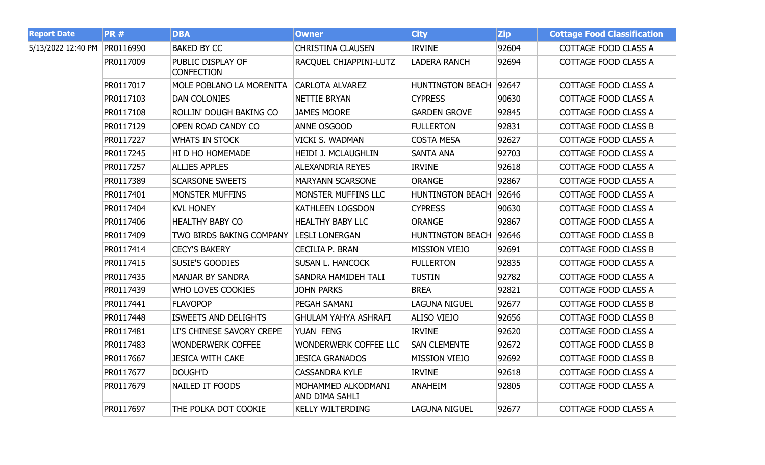| <b>Report Date</b> | <b>PR#</b> | <b>DBA</b>                             | <b>Owner</b>                         | <b>City</b>             | <b>Zip</b> | <b>Cottage Food Classification</b> |
|--------------------|------------|----------------------------------------|--------------------------------------|-------------------------|------------|------------------------------------|
| 5/13/2022 12:40 PM | PR0116990  | <b>BAKED BY CC</b>                     | <b>CHRISTINA CLAUSEN</b>             | <b>IRVINE</b>           | 92604      | COTTAGE FOOD CLASS A               |
|                    | PR0117009  | PUBLIC DISPLAY OF<br><b>CONFECTION</b> | RACQUEL CHIAPPINI-LUTZ               | <b>LADERA RANCH</b>     | 92694      | COTTAGE FOOD CLASS A               |
|                    | PR0117017  | MOLE POBLANO LA MORENITA               | <b>CARLOTA ALVAREZ</b>               | <b>HUNTINGTON BEACH</b> | 92647      | <b>COTTAGE FOOD CLASS A</b>        |
|                    | PR0117103  | <b>DAN COLONIES</b>                    | <b>NETTIE BRYAN</b>                  | <b>CYPRESS</b>          | 90630      | COTTAGE FOOD CLASS A               |
|                    | PR0117108  | ROLLIN' DOUGH BAKING CO                | <b>JAMES MOORE</b>                   | <b>GARDEN GROVE</b>     | 92845      | <b>COTTAGE FOOD CLASS A</b>        |
|                    | PR0117129  | OPEN ROAD CANDY CO                     | ANNE OSGOOD                          | <b>FULLERTON</b>        | 92831      | <b>COTTAGE FOOD CLASS B</b>        |
|                    | PR0117227  | <b>WHATS IN STOCK</b>                  | VICKI S. WADMAN                      | <b>COSTA MESA</b>       | 92627      | COTTAGE FOOD CLASS A               |
|                    | PR0117245  | HI D HO HOMEMADE                       | <b>HEIDI J. MCLAUGHLIN</b>           | <b>SANTA ANA</b>        | 92703      | COTTAGE FOOD CLASS A               |
|                    | PR0117257  | <b>ALLIES APPLES</b>                   | <b>ALEXANDRIA REYES</b>              | <b>IRVINE</b>           | 92618      | COTTAGE FOOD CLASS A               |
|                    | PR0117389  | <b>SCARSONE SWEETS</b>                 | <b>MARYANN SCARSONE</b>              | <b>ORANGE</b>           | 92867      | COTTAGE FOOD CLASS A               |
|                    | PR0117401  | <b>MONSTER MUFFINS</b>                 | MONSTER MUFFINS LLC                  | <b>HUNTINGTON BEACH</b> | 92646      | COTTAGE FOOD CLASS A               |
|                    | PR0117404  | <b>KVL HONEY</b>                       | <b>KATHLEEN LOGSDON</b>              | <b>CYPRESS</b>          | 90630      | COTTAGE FOOD CLASS A               |
|                    | PR0117406  | <b>HEALTHY BABY CO</b>                 | <b>HEALTHY BABY LLC</b>              | <b>ORANGE</b>           | 92867      | <b>COTTAGE FOOD CLASS A</b>        |
|                    | PR0117409  | TWO BIRDS BAKING COMPANY               | <b>LESLI LONERGAN</b>                | <b>HUNTINGTON BEACH</b> | 92646      | <b>COTTAGE FOOD CLASS B</b>        |
|                    | PR0117414  | <b>CECY'S BAKERY</b>                   | <b>CECILIA P. BRAN</b>               | <b>MISSION VIEJO</b>    | 92691      | <b>COTTAGE FOOD CLASS B</b>        |
|                    | PR0117415  | <b>SUSIE'S GOODIES</b>                 | <b>SUSAN L. HANCOCK</b>              | <b>FULLERTON</b>        | 92835      | COTTAGE FOOD CLASS A               |
|                    | PR0117435  | <b>MANJAR BY SANDRA</b>                | SANDRA HAMIDEH TALI                  | <b>TUSTIN</b>           | 92782      | COTTAGE FOOD CLASS A               |
|                    | PR0117439  | WHO LOVES COOKIES                      | <b>JOHN PARKS</b>                    | <b>BREA</b>             | 92821      | COTTAGE FOOD CLASS A               |
|                    | PR0117441  | <b>FLAVOPOP</b>                        | PEGAH SAMANI                         | <b>LAGUNA NIGUEL</b>    | 92677      | <b>COTTAGE FOOD CLASS B</b>        |
|                    | PR0117448  | <b>ISWEETS AND DELIGHTS</b>            | <b>GHULAM YAHYA ASHRAFI</b>          | <b>ALISO VIEJO</b>      | 92656      | <b>COTTAGE FOOD CLASS B</b>        |
|                    | PR0117481  | LI'S CHINESE SAVORY CREPE              | YUAN FENG                            | <b>IRVINE</b>           | 92620      | COTTAGE FOOD CLASS A               |
|                    | PR0117483  | <b>WONDERWERK COFFEE</b>               | <b>WONDERWERK COFFEE LLC</b>         | <b>SAN CLEMENTE</b>     | 92672      | <b>COTTAGE FOOD CLASS B</b>        |
|                    | PR0117667  | <b>JESICA WITH CAKE</b>                | <b>JESICA GRANADOS</b>               | <b>MISSION VIEJO</b>    | 92692      | COTTAGE FOOD CLASS B               |
|                    | PR0117677  | DOUGH'D                                | <b>CASSANDRA KYLE</b>                | <b>IRVINE</b>           | 92618      | COTTAGE FOOD CLASS A               |
|                    | PR0117679  | <b>NAILED IT FOODS</b>                 | MOHAMMED ALKODMANI<br>AND DIMA SAHLI | <b>ANAHEIM</b>          | 92805      | COTTAGE FOOD CLASS A               |
|                    | PR0117697  | THE POLKA DOT COOKIE                   | <b>KELLY WILTERDING</b>              | <b>LAGUNA NIGUEL</b>    | 92677      | <b>COTTAGE FOOD CLASS A</b>        |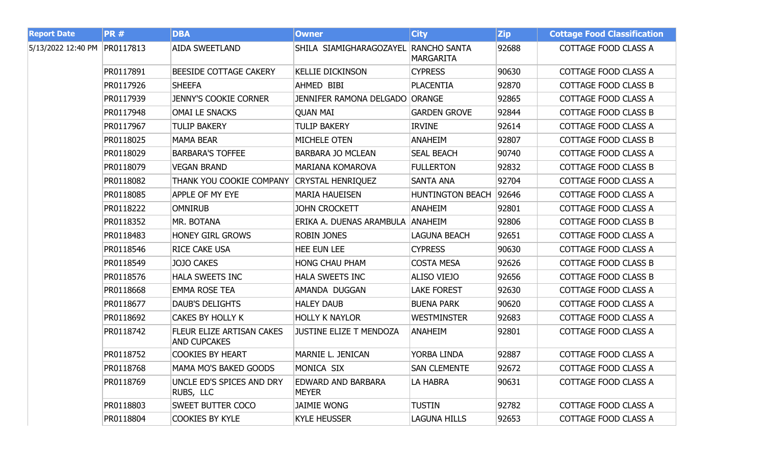| <b>Report Date</b> | <b>PR#</b> | <b>DBA</b>                                       | <b>Owner</b>                         | <b>City</b>             | <b>Zip</b> | <b>Cottage Food Classification</b> |
|--------------------|------------|--------------------------------------------------|--------------------------------------|-------------------------|------------|------------------------------------|
| 5/13/2022 12:40 PM | PR0117813  | <b>AIDA SWEETLAND</b>                            | SHILA SIAMIGHARAGOZAYEL RANCHO SANTA | <b>MARGARITA</b>        | 92688      | COTTAGE FOOD CLASS A               |
|                    | PR0117891  | BEESIDE COTTAGE CAKERY                           | <b>KELLIE DICKINSON</b>              | <b>CYPRESS</b>          | 90630      | COTTAGE FOOD CLASS A               |
|                    | PR0117926  | <b>SHEEFA</b>                                    | AHMED BIBI                           | <b>PLACENTIA</b>        | 92870      | COTTAGE FOOD CLASS B               |
|                    | PR0117939  | <b>JENNY'S COOKIE CORNER</b>                     | JENNIFER RAMONA DELGADO ORANGE       |                         | 92865      | COTTAGE FOOD CLASS A               |
|                    | PR0117948  | <b>OMAI LE SNACKS</b>                            | <b>QUAN MAI</b>                      | <b>GARDEN GROVE</b>     | 92844      | <b>COTTAGE FOOD CLASS B</b>        |
|                    | PR0117967  | <b>TULIP BAKERY</b>                              | <b>TULIP BAKERY</b>                  | <b>IRVINE</b>           | 92614      | COTTAGE FOOD CLASS A               |
|                    | PR0118025  | <b>MAMA BEAR</b>                                 | MICHELE OTEN                         | <b>ANAHEIM</b>          | 92807      | COTTAGE FOOD CLASS B               |
|                    | PR0118029  | <b>BARBARA'S TOFFEE</b>                          | <b>BARBARA JO MCLEAN</b>             | <b>SEAL BEACH</b>       | 90740      | COTTAGE FOOD CLASS A               |
|                    | PR0118079  | <b>VEGAN BRAND</b>                               | MARIANA KOMAROVA                     | <b>FULLERTON</b>        | 92832      | <b>COTTAGE FOOD CLASS B</b>        |
|                    | PR0118082  | THANK YOU COOKIE COMPANY                         | <b>CRYSTAL HENRIQUEZ</b>             | SANTA ANA               | 92704      | COTTAGE FOOD CLASS A               |
|                    | PR0118085  | APPLE OF MY EYE                                  | <b>MARIA HAUEISEN</b>                | <b>HUNTINGTON BEACH</b> | 92646      | COTTAGE FOOD CLASS A               |
|                    | PR0118222  | <b>OMNIRUB</b>                                   | <b>JOHN CROCKETT</b>                 | <b>ANAHEIM</b>          | 92801      | COTTAGE FOOD CLASS A               |
|                    | PR0118352  | MR. BOTANA                                       | ERIKA A. DUENAS ARAMBULA             | <b>ANAHEIM</b>          | 92806      | <b>COTTAGE FOOD CLASS B</b>        |
|                    | PR0118483  | <b>HONEY GIRL GROWS</b>                          | <b>ROBIN JONES</b>                   | <b>LAGUNA BEACH</b>     | 92651      | COTTAGE FOOD CLASS A               |
|                    | PR0118546  | <b>RICE CAKE USA</b>                             | <b>HEE EUN LEE</b>                   | <b>CYPRESS</b>          | 90630      | COTTAGE FOOD CLASS A               |
|                    | PR0118549  | JOJO CAKES                                       | <b>HONG CHAU PHAM</b>                | <b>COSTA MESA</b>       | 92626      | <b>COTTAGE FOOD CLASS B</b>        |
|                    | PR0118576  | <b>HALA SWEETS INC</b>                           | <b>HALA SWEETS INC</b>               | <b>ALISO VIEJO</b>      | 92656      | <b>COTTAGE FOOD CLASS B</b>        |
|                    | PR0118668  | <b>EMMA ROSE TEA</b>                             | AMANDA DUGGAN                        | <b>LAKE FOREST</b>      | 92630      | COTTAGE FOOD CLASS A               |
|                    | PR0118677  | <b>DAUB'S DELIGHTS</b>                           | <b>HALEY DAUB</b>                    | <b>BUENA PARK</b>       | 90620      | COTTAGE FOOD CLASS A               |
|                    | PR0118692  | <b>CAKES BY HOLLY K</b>                          | <b>HOLLY K NAYLOR</b>                | <b>WESTMINSTER</b>      | 92683      | COTTAGE FOOD CLASS A               |
|                    | PR0118742  | FLEUR ELIZE ARTISAN CAKES<br><b>AND CUPCAKES</b> | <b>JUSTINE ELIZE T MENDOZA</b>       | <b>ANAHEIM</b>          | 92801      | COTTAGE FOOD CLASS A               |
|                    | PR0118752  | <b>COOKIES BY HEART</b>                          | MARNIE L. JENICAN                    | YORBA LINDA             | 92887      | <b>COTTAGE FOOD CLASS A</b>        |
|                    | PR0118768  | MAMA MO'S BAKED GOODS                            | MONICA SIX                           | <b>SAN CLEMENTE</b>     | 92672      | COTTAGE FOOD CLASS A               |
|                    | PR0118769  | UNCLE ED'S SPICES AND DRY<br>RUBS, LLC           | EDWARD AND BARBARA<br><b>MEYER</b>   | LA HABRA                | 90631      | COTTAGE FOOD CLASS A               |
|                    | PR0118803  | <b>SWEET BUTTER COCO</b>                         | <b>JAIMIE WONG</b>                   | <b>TUSTIN</b>           | 92782      | COTTAGE FOOD CLASS A               |
|                    | PR0118804  | <b>COOKIES BY KYLE</b>                           | <b>KYLE HEUSSER</b>                  | LAGUNA HILLS            | 92653      | COTTAGE FOOD CLASS A               |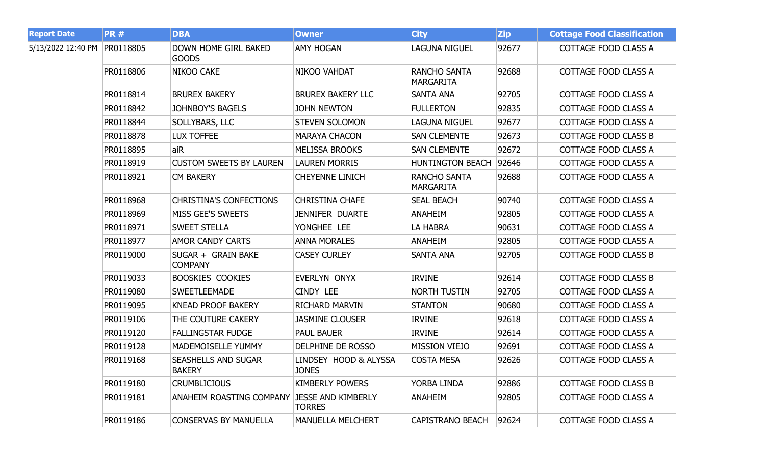| <b>Report Date</b>           | <b>PR#</b> | <b>DBA</b>                                  | <b>Owner</b>                               | <b>City</b>                             | <b>Zip</b> | <b>Cottage Food Classification</b> |
|------------------------------|------------|---------------------------------------------|--------------------------------------------|-----------------------------------------|------------|------------------------------------|
| 5/13/2022 12:40 PM PR0118805 |            | <b>DOWN HOME GIRL BAKED</b><br><b>GOODS</b> | <b>AMY HOGAN</b>                           | <b>LAGUNA NIGUEL</b>                    | 92677      | COTTAGE FOOD CLASS A               |
|                              | PR0118806  | NIKOO CAKE                                  | NIKOO VAHDAT                               | <b>RANCHO SANTA</b><br><b>MARGARITA</b> | 92688      | COTTAGE FOOD CLASS A               |
|                              | PR0118814  | <b>BRUREX BAKERY</b>                        | <b>BRUREX BAKERY LLC</b>                   | SANTA ANA                               | 92705      | COTTAGE FOOD CLASS A               |
|                              | PR0118842  | <b>JOHNBOY'S BAGELS</b>                     | <b>JOHN NEWTON</b>                         | <b>FULLERTON</b>                        | 92835      | COTTAGE FOOD CLASS A               |
|                              | PR0118844  | <b>SOLLYBARS, LLC</b>                       | <b>STEVEN SOLOMON</b>                      | <b>LAGUNA NIGUEL</b>                    | 92677      | COTTAGE FOOD CLASS A               |
|                              | PR0118878  | <b>LUX TOFFEE</b>                           | <b>MARAYA CHACON</b>                       | <b>SAN CLEMENTE</b>                     | 92673      | <b>COTTAGE FOOD CLASS B</b>        |
|                              | PR0118895  | aiR                                         | <b>MELISSA BROOKS</b>                      | <b>SAN CLEMENTE</b>                     | 92672      | COTTAGE FOOD CLASS A               |
|                              | PR0118919  | <b>CUSTOM SWEETS BY LAUREN</b>              | <b>LAUREN MORRIS</b>                       | <b>HUNTINGTON BEACH</b>                 | 92646      | COTTAGE FOOD CLASS A               |
|                              | PR0118921  | <b>CM BAKERY</b>                            | <b>CHEYENNE LINICH</b>                     | <b>RANCHO SANTA</b><br><b>MARGARITA</b> | 92688      | COTTAGE FOOD CLASS A               |
|                              | PR0118968  | <b>CHRISTINA'S CONFECTIONS</b>              | <b>CHRISTINA CHAFE</b>                     | <b>SEAL BEACH</b>                       | 90740      | COTTAGE FOOD CLASS A               |
|                              | PR0118969  | <b>MISS GEE'S SWEETS</b>                    | <b>JENNIFER DUARTE</b>                     | <b>ANAHEIM</b>                          | 92805      | COTTAGE FOOD CLASS A               |
|                              | PR0118971  | <b>SWEET STELLA</b>                         | YONGHEE LEE                                | LA HABRA                                | 90631      | COTTAGE FOOD CLASS A               |
|                              | PR0118977  | <b>AMOR CANDY CARTS</b>                     | <b>ANNA MORALES</b>                        | <b>ANAHEIM</b>                          | 92805      | COTTAGE FOOD CLASS A               |
|                              | PR0119000  | SUGAR + GRAIN BAKE<br><b>COMPANY</b>        | <b>CASEY CURLEY</b>                        | SANTA ANA                               | 92705      | COTTAGE FOOD CLASS B               |
|                              | PR0119033  | <b>BOOSKIES COOKIES</b>                     | EVERLYN ONYX                               | <b>IRVINE</b>                           | 92614      | COTTAGE FOOD CLASS B               |
|                              | PR0119080  | <b>SWEETLEEMADE</b>                         | <b>CINDY LEE</b>                           | <b>NORTH TUSTIN</b>                     | 92705      | COTTAGE FOOD CLASS A               |
|                              | PR0119095  | <b>KNEAD PROOF BAKERY</b>                   | <b>RICHARD MARVIN</b>                      | <b>STANTON</b>                          | 90680      | COTTAGE FOOD CLASS A               |
|                              | PR0119106  | THE COUTURE CAKERY                          | <b>JASMINE CLOUSER</b>                     | <b>IRVINE</b>                           | 92618      | COTTAGE FOOD CLASS A               |
|                              | PR0119120  | <b>FALLINGSTAR FUDGE</b>                    | <b>PAUL BAUER</b>                          | <b>IRVINE</b>                           | 92614      | COTTAGE FOOD CLASS A               |
|                              | PR0119128  | <b>MADEMOISELLE YUMMY</b>                   | <b>DELPHINE DE ROSSO</b>                   | <b>MISSION VIEJO</b>                    | 92691      | COTTAGE FOOD CLASS A               |
|                              | PR0119168  | <b>SEASHELLS AND SUGAR</b><br><b>BAKERY</b> | LINDSEY HOOD & ALYSSA<br><b>JONES</b>      | <b>COSTA MESA</b>                       | 92626      | COTTAGE FOOD CLASS A               |
|                              | PR0119180  | <b>CRUMBLICIOUS</b>                         | <b>KIMBERLY POWERS</b>                     | YORBA LINDA                             | 92886      | <b>COTTAGE FOOD CLASS B</b>        |
|                              | PR0119181  | <b>ANAHEIM ROASTING COMPANY</b>             | <b>JESSE AND KIMBERLY</b><br><b>TORRES</b> | <b>ANAHEIM</b>                          | 92805      | COTTAGE FOOD CLASS A               |
|                              | PR0119186  | <b>CONSERVAS BY MANUELLA</b>                | <b>MANUELLA MELCHERT</b>                   | <b>CAPISTRANO BEACH</b>                 | 92624      | COTTAGE FOOD CLASS A               |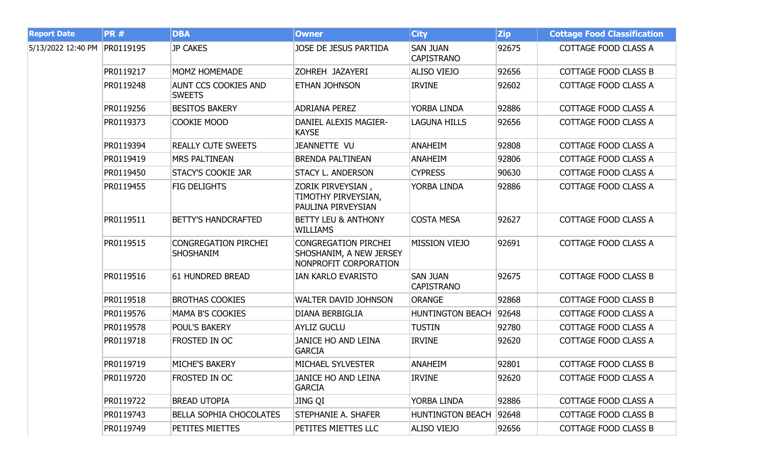| <b>Report Date</b> | <b>PR#</b> | <b>DBA</b>                                      | <b>Owner</b>                                                                    | <b>City</b>                          | <b>Zip</b> | <b>Cottage Food Classification</b> |
|--------------------|------------|-------------------------------------------------|---------------------------------------------------------------------------------|--------------------------------------|------------|------------------------------------|
| 5/13/2022 12:40 PM | PR0119195  | <b>JP CAKES</b>                                 | JOSE DE JESUS PARTIDA                                                           | <b>SAN JUAN</b><br><b>CAPISTRANO</b> | 92675      | COTTAGE FOOD CLASS A               |
|                    | PR0119217  | <b>MOMZ HOMEMADE</b>                            | ZOHREH JAZAYERI                                                                 | <b>ALISO VIEJO</b>                   | 92656      | COTTAGE FOOD CLASS B               |
|                    | PR0119248  | <b>AUNT CCS COOKIES AND</b><br><b>SWEETS</b>    | ETHAN JOHNSON                                                                   | <b>IRVINE</b>                        | 92602      | COTTAGE FOOD CLASS A               |
|                    | PR0119256  | <b>BESITOS BAKERY</b>                           | <b>ADRIANA PEREZ</b>                                                            | YORBA LINDA                          | 92886      | COTTAGE FOOD CLASS A               |
|                    | PR0119373  | COOKIE MOOD                                     | DANIEL ALEXIS MAGIER-<br><b>KAYSE</b>                                           | <b>LAGUNA HILLS</b>                  | 92656      | COTTAGE FOOD CLASS A               |
|                    | PR0119394  | <b>REALLY CUTE SWEETS</b>                       | JEANNETTE VU                                                                    | <b>ANAHEIM</b>                       | 92808      | COTTAGE FOOD CLASS A               |
|                    | PR0119419  | <b>MRS PALTINEAN</b>                            | <b>BRENDA PALTINEAN</b>                                                         | <b>ANAHEIM</b>                       | 92806      | COTTAGE FOOD CLASS A               |
|                    | PR0119450  | <b>STACY'S COOKIE JAR</b>                       | <b>STACY L. ANDERSON</b>                                                        | <b>CYPRESS</b>                       | 90630      | COTTAGE FOOD CLASS A               |
|                    | PR0119455  | <b>FIG DELIGHTS</b>                             | ZORIK PIRVEYSIAN,<br>TIMOTHY PIRVEYSIAN,<br>PAULINA PIRVEYSIAN                  | YORBA LINDA                          | 92886      | COTTAGE FOOD CLASS A               |
|                    | PR0119511  | <b>BETTY'S HANDCRAFTED</b>                      | <b>BETTY LEU &amp; ANTHONY</b><br><b>WILLIAMS</b>                               | <b>COSTA MESA</b>                    | 92627      | COTTAGE FOOD CLASS A               |
|                    | PR0119515  | <b>CONGREGATION PIRCHEI</b><br><b>SHOSHANIM</b> | <b>CONGREGATION PIRCHEI</b><br>SHOSHANIM, A NEW JERSEY<br>NONPROFIT CORPORATION | <b>MISSION VIEJO</b>                 | 92691      | COTTAGE FOOD CLASS A               |
|                    | PR0119516  | 61 HUNDRED BREAD                                | IAN KARLO EVARISTO                                                              | <b>SAN JUAN</b><br><b>CAPISTRANO</b> | 92675      | <b>COTTAGE FOOD CLASS B</b>        |
|                    | PR0119518  | <b>BROTHAS COOKIES</b>                          | <b>WALTER DAVID JOHNSON</b>                                                     | <b>ORANGE</b>                        | 92868      | COTTAGE FOOD CLASS B               |
|                    | PR0119576  | <b>MAMA B'S COOKIES</b>                         | <b>DIANA BERBIGLIA</b>                                                          | <b>HUNTINGTON BEACH</b>              | 92648      | COTTAGE FOOD CLASS A               |
|                    | PR0119578  | <b>POUL'S BAKERY</b>                            | <b>AYLIZ GUCLU</b>                                                              | <b>TUSTIN</b>                        | 92780      | COTTAGE FOOD CLASS A               |
|                    | PR0119718  | FROSTED IN OC                                   | <b>JANICE HO AND LEINA</b><br><b>GARCIA</b>                                     | <b>IRVINE</b>                        | 92620      | COTTAGE FOOD CLASS A               |
|                    | PR0119719  | <b>MICHE'S BAKERY</b>                           | <b>MICHAEL SYLVESTER</b>                                                        | <b>ANAHEIM</b>                       | 92801      | <b>COTTAGE FOOD CLASS B</b>        |
|                    | PR0119720  | FROSTED IN OC                                   | <b>JANICE HO AND LEINA</b><br><b>GARCIA</b>                                     | <b>IRVINE</b>                        | 92620      | COTTAGE FOOD CLASS A               |
|                    | PR0119722  | <b>BREAD UTOPIA</b>                             | JING QI                                                                         | YORBA LINDA                          | 92886      | COTTAGE FOOD CLASS A               |
|                    | PR0119743  | <b>BELLA SOPHIA CHOCOLATES</b>                  | STEPHANIE A. SHAFER                                                             | <b>HUNTINGTON BEACH</b>              | 92648      | COTTAGE FOOD CLASS B               |
|                    | PR0119749  | PETITES MIETTES                                 | PETITES MIETTES LLC                                                             | ALISO VIEJO                          | 92656      | COTTAGE FOOD CLASS B               |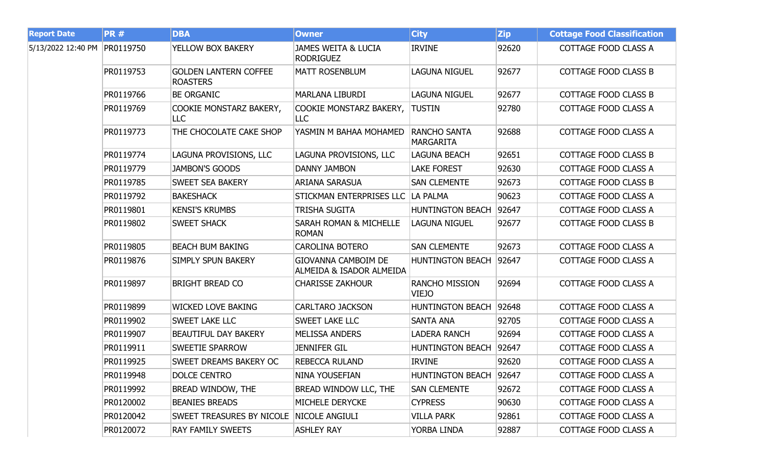| <b>Report Date</b> | <b>PR#</b> | <b>DBA</b>                                      | <b>Owner</b>                                           | <b>City</b>                             | <b>Zip</b> | <b>Cottage Food Classification</b> |
|--------------------|------------|-------------------------------------------------|--------------------------------------------------------|-----------------------------------------|------------|------------------------------------|
| 5/13/2022 12:40 PM | PR0119750  | YELLOW BOX BAKERY                               | <b>JAMES WEITA &amp; LUCIA</b><br><b>RODRIGUEZ</b>     | <b>IRVINE</b>                           | 92620      | COTTAGE FOOD CLASS A               |
|                    | PR0119753  | <b>GOLDEN LANTERN COFFEE</b><br><b>ROASTERS</b> | <b>MATT ROSENBLUM</b>                                  | <b>LAGUNA NIGUEL</b>                    | 92677      | <b>COTTAGE FOOD CLASS B</b>        |
|                    | PR0119766  | <b>BE ORGANIC</b>                               | MARLANA LIBURDI                                        | <b>LAGUNA NIGUEL</b>                    | 92677      | COTTAGE FOOD CLASS B               |
|                    | PR0119769  | COOKIE MONSTARZ BAKERY,<br><b>LLC</b>           | COOKIE MONSTARZ BAKERY,<br>LLC                         | <b>TUSTIN</b>                           | 92780      | COTTAGE FOOD CLASS A               |
|                    | PR0119773  | THE CHOCOLATE CAKE SHOP                         | YASMIN M BAHAA MOHAMED                                 | <b>RANCHO SANTA</b><br><b>MARGARITA</b> | 92688      | COTTAGE FOOD CLASS A               |
|                    | PR0119774  | LAGUNA PROVISIONS, LLC                          | LAGUNA PROVISIONS, LLC                                 | <b>LAGUNA BEACH</b>                     | 92651      | <b>COTTAGE FOOD CLASS B</b>        |
|                    | PR0119779  | <b>JAMBON'S GOODS</b>                           | <b>DANNY JAMBON</b>                                    | <b>LAKE FOREST</b>                      | 92630      | COTTAGE FOOD CLASS A               |
|                    | PR0119785  | <b>SWEET SEA BAKERY</b>                         | <b>ARIANA SARASUA</b>                                  | <b>SAN CLEMENTE</b>                     | 92673      | <b>COTTAGE FOOD CLASS B</b>        |
|                    | PR0119792  | <b>BAKESHACK</b>                                | STICKMAN ENTERPRISES LLC                               | LA PALMA                                | 90623      | COTTAGE FOOD CLASS A               |
|                    | PR0119801  | <b>KENSI'S KRUMBS</b>                           | TRISHA SUGITA                                          | <b>HUNTINGTON BEACH</b>                 | 92647      | COTTAGE FOOD CLASS A               |
|                    | PR0119802  | <b>SWEET SHACK</b>                              | <b>SARAH ROMAN &amp; MICHELLE</b><br><b>ROMAN</b>      | <b>LAGUNA NIGUEL</b>                    | 92677      | <b>COTTAGE FOOD CLASS B</b>        |
|                    | PR0119805  | <b>BEACH BUM BAKING</b>                         | <b>CAROLINA BOTERO</b>                                 | <b>SAN CLEMENTE</b>                     | 92673      | COTTAGE FOOD CLASS A               |
|                    | PR0119876  | SIMPLY SPUN BAKERY                              | <b>GIOVANNA CAMBOIM DE</b><br>ALMEIDA & ISADOR ALMEIDA | <b>HUNTINGTON BEACH</b>                 | 92647      | COTTAGE FOOD CLASS A               |
|                    | PR0119897  | <b>BRIGHT BREAD CO</b>                          | <b>CHARISSE ZAKHOUR</b>                                | <b>RANCHO MISSION</b><br>VIEJO          | 92694      | <b>COTTAGE FOOD CLASS A</b>        |
|                    | PR0119899  | <b>WICKED LOVE BAKING</b>                       | <b>CARLTARO JACKSON</b>                                | <b>HUNTINGTON BEACH</b>                 | 92648      | <b>COTTAGE FOOD CLASS A</b>        |
|                    | PR0119902  | <b>SWEET LAKE LLC</b>                           | SWEET LAKE LLC                                         | <b>SANTA ANA</b>                        | 92705      | <b>COTTAGE FOOD CLASS A</b>        |
|                    | PR0119907  | <b>BEAUTIFUL DAY BAKERY</b>                     | <b>MELISSA ANDERS</b>                                  | <b>LADERA RANCH</b>                     | 92694      | COTTAGE FOOD CLASS A               |
|                    | PR0119911  | <b>SWEETIE SPARROW</b>                          | <b>JENNIFER GIL</b>                                    | <b>HUNTINGTON BEACH</b>                 | 92647      | <b>COTTAGE FOOD CLASS A</b>        |
|                    | PR0119925  | <b>SWEET DREAMS BAKERY OC</b>                   | <b>REBECCA RULAND</b>                                  | <b>IRVINE</b>                           | 92620      | COTTAGE FOOD CLASS A               |
|                    | PR0119948  | <b>DOLCE CENTRO</b>                             | <b>NINA YOUSEFIAN</b>                                  | <b>HUNTINGTON BEACH</b>                 | 92647      | COTTAGE FOOD CLASS A               |
|                    | PR0119992  | BREAD WINDOW, THE                               | BREAD WINDOW LLC, THE                                  | <b>SAN CLEMENTE</b>                     | 92672      | COTTAGE FOOD CLASS A               |
|                    | PR0120002  | <b>BEANIES BREADS</b>                           | MICHELE DERYCKE                                        | <b>CYPRESS</b>                          | 90630      | COTTAGE FOOD CLASS A               |
|                    | PR0120042  | <b>SWEET TREASURES BY NICOLE</b>                | NICOLE ANGIULI                                         | VILLA PARK                              | 92861      | COTTAGE FOOD CLASS A               |
|                    | PR0120072  | <b>RAY FAMILY SWEETS</b>                        | <b>ASHLEY RAY</b>                                      | YORBA LINDA                             | 92887      | COTTAGE FOOD CLASS A               |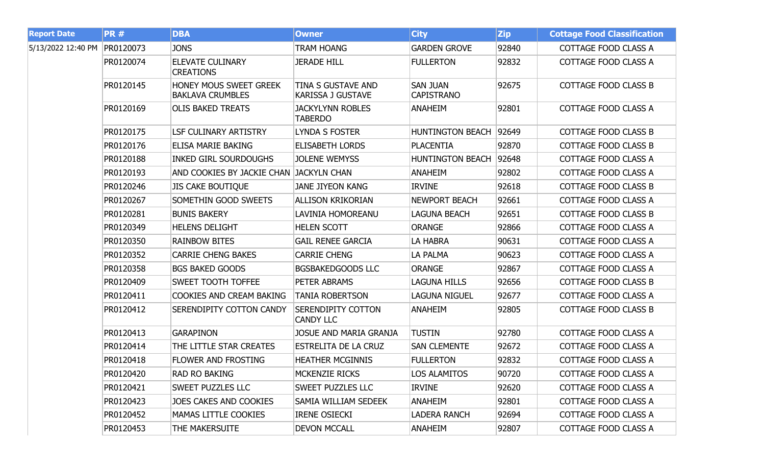| <b>Report Date</b> | <b>PR#</b> | <b>DBA</b>                                        | <b>Owner</b>                                   | <b>City</b>                          | <b>Zip</b> | <b>Cottage Food Classification</b> |
|--------------------|------------|---------------------------------------------------|------------------------------------------------|--------------------------------------|------------|------------------------------------|
| 5/13/2022 12:40 PM | PR0120073  | <b>JONS</b>                                       | TRAM HOANG                                     | <b>GARDEN GROVE</b>                  | 92840      | COTTAGE FOOD CLASS A               |
|                    | PR0120074  | <b>ELEVATE CULINARY</b><br><b>CREATIONS</b>       | <b>JERADE HILL</b>                             | <b>FULLERTON</b>                     | 92832      | COTTAGE FOOD CLASS A               |
|                    | PR0120145  | HONEY MOUS SWEET GREEK<br><b>BAKLAVA CRUMBLES</b> | TINA S GUSTAVE AND<br><b>KARISSA J GUSTAVE</b> | <b>SAN JUAN</b><br><b>CAPISTRANO</b> | 92675      | <b>COTTAGE FOOD CLASS B</b>        |
|                    | PR0120169  | <b>OLIS BAKED TREATS</b>                          | <b>JACKYLYNN ROBLES</b><br><b>TABERDO</b>      | <b>ANAHEIM</b>                       | 92801      | COTTAGE FOOD CLASS A               |
|                    | PR0120175  | <b>LSF CULINARY ARTISTRY</b>                      | <b>LYNDA S FOSTER</b>                          | <b>HUNTINGTON BEACH</b>              | 92649      | COTTAGE FOOD CLASS B               |
|                    | PR0120176  | <b>ELISA MARIE BAKING</b>                         | <b>ELISABETH LORDS</b>                         | <b>PLACENTIA</b>                     | 92870      | <b>COTTAGE FOOD CLASS B</b>        |
|                    | PR0120188  | <b>INKED GIRL SOURDOUGHS</b>                      | <b>JOLENE WEMYSS</b>                           | <b>HUNTINGTON BEACH</b>              | 92648      | <b>COTTAGE FOOD CLASS A</b>        |
|                    | PR0120193  | AND COOKIES BY JACKIE CHAN                        | <b>JACKYLN CHAN</b>                            | <b>ANAHEIM</b>                       | 92802      | <b>COTTAGE FOOD CLASS A</b>        |
|                    | PR0120246  | <b>JIS CAKE BOUTIQUE</b>                          | <b>JANE JIYEON KANG</b>                        | <b>IRVINE</b>                        | 92618      | <b>COTTAGE FOOD CLASS B</b>        |
|                    | PR0120267  | SOMETHIN GOOD SWEETS                              | <b>ALLISON KRIKORIAN</b>                       | <b>NEWPORT BEACH</b>                 | 92661      | <b>COTTAGE FOOD CLASS A</b>        |
|                    | PR0120281  | <b>BUNIS BAKERY</b>                               | LAVINIA HOMOREANU                              | <b>LAGUNA BEACH</b>                  | 92651      | <b>COTTAGE FOOD CLASS B</b>        |
|                    | PR0120349  | <b>HELENS DELIGHT</b>                             | <b>HELEN SCOTT</b>                             | <b>ORANGE</b>                        | 92866      | <b>COTTAGE FOOD CLASS A</b>        |
|                    | PR0120350  | <b>RAINBOW BITES</b>                              | <b>GAIL RENEE GARCIA</b>                       | LA HABRA                             | 90631      | <b>COTTAGE FOOD CLASS A</b>        |
|                    | PR0120352  | <b>CARRIE CHENG BAKES</b>                         | <b>CARRIE CHENG</b>                            | LA PALMA                             | 90623      | <b>COTTAGE FOOD CLASS A</b>        |
|                    | PR0120358  | <b>BGS BAKED GOODS</b>                            | <b>BGSBAKEDGOODS LLC</b>                       | <b>ORANGE</b>                        | 92867      | COTTAGE FOOD CLASS A               |
|                    | PR0120409  | <b>SWEET TOOTH TOFFEE</b>                         | PETER ABRAMS                                   | <b>LAGUNA HILLS</b>                  | 92656      | <b>COTTAGE FOOD CLASS B</b>        |
|                    | PR0120411  | <b>COOKIES AND CREAM BAKING</b>                   | <b>TANIA ROBERTSON</b>                         | <b>LAGUNA NIGUEL</b>                 | 92677      | COTTAGE FOOD CLASS A               |
|                    | PR0120412  | SERENDIPITY COTTON CANDY                          | <b>SERENDIPITY COTTON</b><br><b>CANDY LLC</b>  | <b>ANAHEIM</b>                       | 92805      | <b>COTTAGE FOOD CLASS B</b>        |
|                    | PR0120413  | <b>GARAPINON</b>                                  | <b>JOSUE AND MARIA GRANJA</b>                  | <b>TUSTIN</b>                        | 92780      | <b>COTTAGE FOOD CLASS A</b>        |
|                    | PR0120414  | THE LITTLE STAR CREATES                           | ESTRELITA DE LA CRUZ                           | <b>SAN CLEMENTE</b>                  | 92672      | COTTAGE FOOD CLASS A               |
|                    | PR0120418  | <b>FLOWER AND FROSTING</b>                        | <b>HEATHER MCGINNIS</b>                        | <b>FULLERTON</b>                     | 92832      | <b>COTTAGE FOOD CLASS A</b>        |
|                    | PR0120420  | <b>RAD RO BAKING</b>                              | <b>MCKENZIE RICKS</b>                          | LOS ALAMITOS                         | 90720      | COTTAGE FOOD CLASS A               |
|                    | PR0120421  | <b>SWEET PUZZLES LLC</b>                          | <b>SWEET PUZZLES LLC</b>                       | <b>IRVINE</b>                        | 92620      | COTTAGE FOOD CLASS A               |
|                    | PR0120423  | JOES CAKES AND COOKIES                            | SAMIA WILLIAM SEDEEK                           | <b>ANAHEIM</b>                       | 92801      | COTTAGE FOOD CLASS A               |
|                    | PR0120452  | <b>MAMAS LITTLE COOKIES</b>                       | <b>IRENE OSIECKI</b>                           | LADERA RANCH                         | 92694      | COTTAGE FOOD CLASS A               |
|                    | PR0120453  | THE MAKERSUITE                                    | <b>DEVON MCCALL</b>                            | <b>ANAHEIM</b>                       | 92807      | COTTAGE FOOD CLASS A               |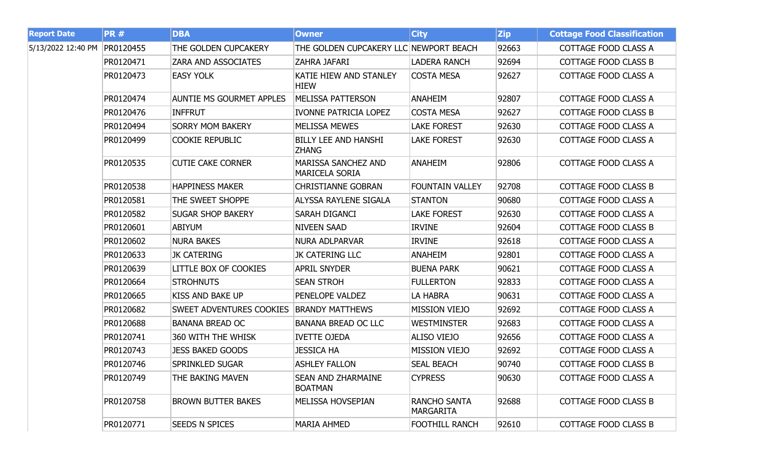| <b>Report Date</b> | <b>PR#</b> | <b>DBA</b>                      | <b>Owner</b>                                        | <b>City</b>                             | <b>Zip</b> | <b>Cottage Food Classification</b> |
|--------------------|------------|---------------------------------|-----------------------------------------------------|-----------------------------------------|------------|------------------------------------|
| 5/13/2022 12:40 PM | PR0120455  | THE GOLDEN CUPCAKERY            | THE GOLDEN CUPCAKERY LLC NEWPORT BEACH              |                                         | 92663      | COTTAGE FOOD CLASS A               |
|                    | PR0120471  | <b>ZARA AND ASSOCIATES</b>      | ZAHRA JAFARI                                        | <b>LADERA RANCH</b>                     | 92694      | COTTAGE FOOD CLASS B               |
|                    | PR0120473  | <b>EASY YOLK</b>                | KATIE HIEW AND STANLEY<br><b>HIEW</b>               | <b>COSTA MESA</b>                       | 92627      | COTTAGE FOOD CLASS A               |
|                    | PR0120474  | <b>AUNTIE MS GOURMET APPLES</b> | <b>MELISSA PATTERSON</b>                            | <b>ANAHEIM</b>                          | 92807      | COTTAGE FOOD CLASS A               |
|                    | PR0120476  | <b>INFFRUT</b>                  | <b>IVONNE PATRICIA LOPEZ</b>                        | <b>COSTA MESA</b>                       | 92627      | COTTAGE FOOD CLASS B               |
|                    | PR0120494  | <b>SORRY MOM BAKERY</b>         | <b>MELISSA MEWES</b>                                | <b>LAKE FOREST</b>                      | 92630      | COTTAGE FOOD CLASS A               |
|                    | PR0120499  | <b>COOKIE REPUBLIC</b>          | <b>BILLY LEE AND HANSHI</b><br><b>ZHANG</b>         | <b>LAKE FOREST</b>                      | 92630      | COTTAGE FOOD CLASS A               |
|                    | PR0120535  | <b>CUTIE CAKE CORNER</b>        | <b>MARISSA SANCHEZ AND</b><br><b>MARICELA SORIA</b> | <b>ANAHEIM</b>                          | 92806      | COTTAGE FOOD CLASS A               |
|                    | PR0120538  | <b>HAPPINESS MAKER</b>          | <b>CHRISTIANNE GOBRAN</b>                           | <b>FOUNTAIN VALLEY</b>                  | 92708      | COTTAGE FOOD CLASS B               |
|                    | PR0120581  | THE SWEET SHOPPE                | <b>ALYSSA RAYLENE SIGALA</b>                        | <b>STANTON</b>                          | 90680      | COTTAGE FOOD CLASS A               |
|                    | PR0120582  | <b>SUGAR SHOP BAKERY</b>        | SARAH DIGANCI                                       | <b>LAKE FOREST</b>                      | 92630      | COTTAGE FOOD CLASS A               |
|                    | PR0120601  | <b>ABIYUM</b>                   | <b>NIVEEN SAAD</b>                                  | <b>IRVINE</b>                           | 92604      | COTTAGE FOOD CLASS B               |
|                    | PR0120602  | <b>NURA BAKES</b>               | <b>NURA ADLPARVAR</b>                               | <b>IRVINE</b>                           | 92618      | COTTAGE FOOD CLASS A               |
|                    | PR0120633  | <b>JK CATERING</b>              | JK CATERING LLC                                     | <b>ANAHEIM</b>                          | 92801      | COTTAGE FOOD CLASS A               |
|                    | PR0120639  | <b>LITTLE BOX OF COOKIES</b>    | <b>APRIL SNYDER</b>                                 | <b>BUENA PARK</b>                       | 90621      | COTTAGE FOOD CLASS A               |
|                    | PR0120664  | <b>STROHNUTS</b>                | <b>SEAN STROH</b>                                   | <b>FULLERTON</b>                        | 92833      | COTTAGE FOOD CLASS A               |
|                    | PR0120665  | <b>KISS AND BAKE UP</b>         | PENELOPE VALDEZ                                     | LA HABRA                                | 90631      | COTTAGE FOOD CLASS A               |
|                    | PR0120682  | <b>SWEET ADVENTURES COOKIES</b> | <b>BRANDY MATTHEWS</b>                              | <b>MISSION VIEJO</b>                    | 92692      | COTTAGE FOOD CLASS A               |
|                    | PR0120688  | <b>BANANA BREAD OC</b>          | <b>BANANA BREAD OC LLC</b>                          | <b>WESTMINSTER</b>                      | 92683      | COTTAGE FOOD CLASS A               |
|                    | PR0120741  | 360 WITH THE WHISK              | <b>IVETTE OJEDA</b>                                 | ALISO VIEJO                             | 92656      | COTTAGE FOOD CLASS A               |
|                    | PR0120743  | <b>JESS BAKED GOODS</b>         | <b>JESSICA HA</b>                                   | <b>MISSION VIEJO</b>                    | 92692      | COTTAGE FOOD CLASS A               |
|                    | PR0120746  | <b>SPRINKLED SUGAR</b>          | <b>ASHLEY FALLON</b>                                | <b>SEAL BEACH</b>                       | 90740      | <b>COTTAGE FOOD CLASS B</b>        |
|                    | PR0120749  | THE BAKING MAVEN                | <b>SEAN AND ZHARMAINE</b><br><b>BOATMAN</b>         | <b>CYPRESS</b>                          | 90630      | COTTAGE FOOD CLASS A               |
|                    | PR0120758  | <b>BROWN BUTTER BAKES</b>       | <b>MELISSA HOVSEPIAN</b>                            | <b>RANCHO SANTA</b><br><b>MARGARITA</b> | 92688      | COTTAGE FOOD CLASS B               |
|                    | PR0120771  | <b>SEEDS N SPICES</b>           | <b>MARIA AHMED</b>                                  | <b>FOOTHILL RANCH</b>                   | 92610      | <b>COTTAGE FOOD CLASS B</b>        |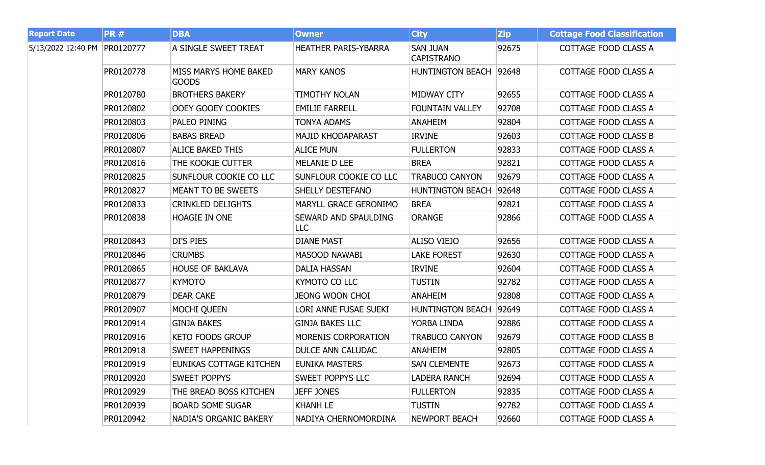| <b>Report Date</b>           | <b>PR#</b> | <b>DBA</b>                            | <b>Owner</b>                       | <b>City</b>                          | <b>Zip</b> | <b>Cottage Food Classification</b> |
|------------------------------|------------|---------------------------------------|------------------------------------|--------------------------------------|------------|------------------------------------|
| 5/13/2022 12:40 PM PR0120777 |            | A SINGLE SWEET TREAT                  | <b>HEATHER PARIS-YBARRA</b>        | <b>SAN JUAN</b><br><b>CAPISTRANO</b> | 92675      | COTTAGE FOOD CLASS A               |
|                              | PR0120778  | MISS MARYS HOME BAKED<br><b>GOODS</b> | <b>MARY KANOS</b>                  | HUNTINGTON BEACH 92648               |            | COTTAGE FOOD CLASS A               |
|                              | PR0120780  | <b>BROTHERS BAKERY</b>                | <b>TIMOTHY NOLAN</b>               | MIDWAY CITY                          | 92655      | COTTAGE FOOD CLASS A               |
|                              | PR0120802  | OOEY GOOEY COOKIES                    | <b>EMILIE FARRELL</b>              | <b>FOUNTAIN VALLEY</b>               | 92708      | COTTAGE FOOD CLASS A               |
|                              | PR0120803  | PALEO PINING                          | <b>TONYA ADAMS</b>                 | <b>ANAHEIM</b>                       | 92804      | COTTAGE FOOD CLASS A               |
|                              | PR0120806  | <b>BABAS BREAD</b>                    | <b>MAJID KHODAPARAST</b>           | <b>IRVINE</b>                        | 92603      | COTTAGE FOOD CLASS B               |
|                              | PR0120807  | <b>ALICE BAKED THIS</b>               | <b>ALICE MUN</b>                   | <b>FULLERTON</b>                     | 92833      | COTTAGE FOOD CLASS A               |
|                              | PR0120816  | THE KOOKIE CUTTER                     | MELANIE D LEE                      | <b>BREA</b>                          | 92821      | COTTAGE FOOD CLASS A               |
|                              | PR0120825  | SUNFLOUR COOKIE CO LLC                | SUNFLOUR COOKIE CO LLC             | <b>TRABUCO CANYON</b>                | 92679      | COTTAGE FOOD CLASS A               |
|                              | PR0120827  | MEANT TO BE SWEETS                    | <b>SHELLY DESTEFANO</b>            | <b>HUNTINGTON BEACH</b>              | 92648      | COTTAGE FOOD CLASS A               |
|                              | PR0120833  | <b>CRINKLED DELIGHTS</b>              | MARYLL GRACE GERONIMO              | <b>BREA</b>                          | 92821      | COTTAGE FOOD CLASS A               |
|                              | PR0120838  | <b>HOAGIE IN ONE</b>                  | <b>SEWARD AND SPAULDING</b><br>LLC | <b>ORANGE</b>                        | 92866      | COTTAGE FOOD CLASS A               |
|                              | PR0120843  | <b>DI'S PIES</b>                      | <b>DIANE MAST</b>                  | <b>ALISO VIEJO</b>                   | 92656      | COTTAGE FOOD CLASS A               |
|                              | PR0120846  | <b>CRUMBS</b>                         | <b>MASOOD NAWABI</b>               | <b>LAKE FOREST</b>                   | 92630      | COTTAGE FOOD CLASS A               |
|                              | PR0120865  | <b>HOUSE OF BAKLAVA</b>               | <b>DALIA HASSAN</b>                | <b>IRVINE</b>                        | 92604      | COTTAGE FOOD CLASS A               |
|                              | PR0120877  | <b>KYMOTO</b>                         | KYMOTO CO LLC                      | <b>TUSTIN</b>                        | 92782      | COTTAGE FOOD CLASS A               |
|                              | PR0120879  | <b>DEAR CAKE</b>                      | <b>JEONG WOON CHOI</b>             | <b>ANAHEIM</b>                       | 92808      | COTTAGE FOOD CLASS A               |
|                              | PR0120907  | <b>MOCHI QUEEN</b>                    | LORI ANNE FUSAE SUEKI              | <b>HUNTINGTON BEACH</b>              | 92649      | COTTAGE FOOD CLASS A               |
|                              | PR0120914  | <b>GINJA BAKES</b>                    | <b>GINJA BAKES LLC</b>             | YORBA LINDA                          | 92886      | COTTAGE FOOD CLASS A               |
|                              | PR0120916  | <b>KETO FOODS GROUP</b>               | MORENIS CORPORATION                | <b>TRABUCO CANYON</b>                | 92679      | <b>COTTAGE FOOD CLASS B</b>        |
|                              | PR0120918  | <b>SWEET HAPPENINGS</b>               | <b>DULCE ANN CALUDAC</b>           | <b>ANAHEIM</b>                       | 92805      | COTTAGE FOOD CLASS A               |
|                              | PR0120919  | EUNIKAS COTTAGE KITCHEN               | <b>EUNIKA MASTERS</b>              | <b>SAN CLEMENTE</b>                  | 92673      | COTTAGE FOOD CLASS A               |
|                              | PR0120920  | <b>SWEET POPPYS</b>                   | <b>SWEET POPPYS LLC</b>            | <b>LADERA RANCH</b>                  | 92694      | COTTAGE FOOD CLASS A               |
|                              | PR0120929  | THE BREAD BOSS KITCHEN                | <b>JEFF JONES</b>                  | <b>FULLERTON</b>                     | 92835      | COTTAGE FOOD CLASS A               |
|                              | PR0120939  | <b>BOARD SOME SUGAR</b>               | <b>KHANH LE</b>                    | <b>TUSTIN</b>                        | 92782      | COTTAGE FOOD CLASS A               |
|                              | PR0120942  | <b>NADIA'S ORGANIC BAKERY</b>         | NADIYA CHERNOMORDINA               | <b>NEWPORT BEACH</b>                 | 92660      | <b>COTTAGE FOOD CLASS A</b>        |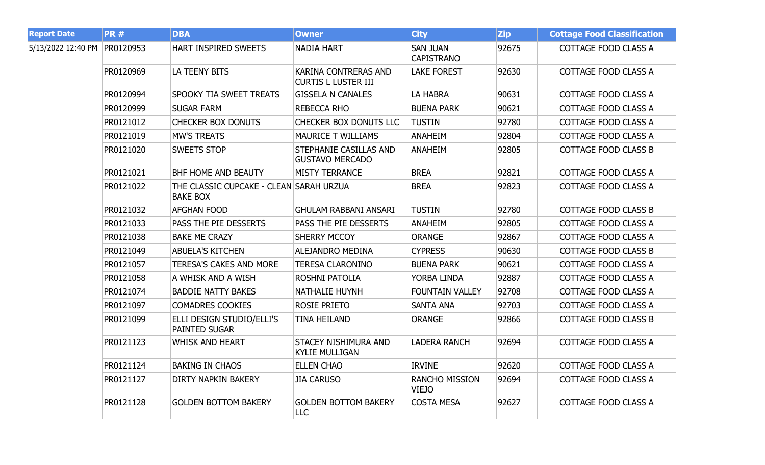| <b>Report Date</b> | <b>PR#</b> | <b>DBA</b>                                                 | <b>Owner</b>                                            | <b>City</b>                           | <b>Zip</b> | <b>Cottage Food Classification</b> |
|--------------------|------------|------------------------------------------------------------|---------------------------------------------------------|---------------------------------------|------------|------------------------------------|
| 5/13/2022 12:40 PM | PR0120953  | <b>HART INSPIRED SWEETS</b>                                | NADIA HART                                              | <b>SAN JUAN</b><br><b>CAPISTRANO</b>  | 92675      | COTTAGE FOOD CLASS A               |
|                    | PR0120969  | LA TEENY BITS                                              | KARINA CONTRERAS AND<br><b>CURTIS L LUSTER III</b>      | <b>LAKE FOREST</b>                    | 92630      | COTTAGE FOOD CLASS A               |
|                    | PR0120994  | <b>SPOOKY TIA SWEET TREATS</b>                             | <b>GISSELA N CANALES</b>                                | LA HABRA                              | 90631      | COTTAGE FOOD CLASS A               |
|                    | PR0120999  | <b>SUGAR FARM</b>                                          | <b>REBECCA RHO</b>                                      | <b>BUENA PARK</b>                     | 90621      | COTTAGE FOOD CLASS A               |
|                    | PR0121012  | <b>CHECKER BOX DONUTS</b>                                  | CHECKER BOX DONUTS LLC                                  | <b>TUSTIN</b>                         | 92780      | COTTAGE FOOD CLASS A               |
|                    | PR0121019  | <b>MW'S TREATS</b>                                         | <b>MAURICE T WILLIAMS</b>                               | <b>ANAHEIM</b>                        | 92804      | COTTAGE FOOD CLASS A               |
|                    | PR0121020  | <b>SWEETS STOP</b>                                         | <b>STEPHANIE CASILLAS AND</b><br><b>GUSTAVO MERCADO</b> | <b>ANAHEIM</b>                        | 92805      | COTTAGE FOOD CLASS B               |
|                    | PR0121021  | <b>BHF HOME AND BEAUTY</b>                                 | <b>MISTY TERRANCE</b>                                   | <b>BREA</b>                           | 92821      | COTTAGE FOOD CLASS A               |
|                    | PR0121022  | THE CLASSIC CUPCAKE - CLEAN SARAH URZUA<br><b>BAKE BOX</b> |                                                         | <b>BREA</b>                           | 92823      | COTTAGE FOOD CLASS A               |
|                    | PR0121032  | <b>AFGHAN FOOD</b>                                         | <b>GHULAM RABBANI ANSARI</b>                            | <b>TUSTIN</b>                         | 92780      | COTTAGE FOOD CLASS B               |
|                    | PR0121033  | <b>PASS THE PIE DESSERTS</b>                               | PASS THE PIE DESSERTS                                   | <b>ANAHEIM</b>                        | 92805      | COTTAGE FOOD CLASS A               |
|                    | PR0121038  | <b>BAKE ME CRAZY</b>                                       | <b>SHERRY MCCOY</b>                                     | <b>ORANGE</b>                         | 92867      | COTTAGE FOOD CLASS A               |
|                    | PR0121049  | <b>ABUELA'S KITCHEN</b>                                    | <b>ALEJANDRO MEDINA</b>                                 | <b>CYPRESS</b>                        | 90630      | COTTAGE FOOD CLASS B               |
|                    | PR0121057  | <b>TERESA'S CAKES AND MORE</b>                             | <b>TERESA CLARONINO</b>                                 | <b>BUENA PARK</b>                     | 90621      | COTTAGE FOOD CLASS A               |
|                    | PR0121058  | A WHISK AND A WISH                                         | <b>ROSHNI PATOLIA</b>                                   | YORBA LINDA                           | 92887      | COTTAGE FOOD CLASS A               |
|                    | PR0121074  | <b>BADDIE NATTY BAKES</b>                                  | NATHALIE HUYNH                                          | <b>FOUNTAIN VALLEY</b>                | 92708      | COTTAGE FOOD CLASS A               |
|                    | PR0121097  | <b>COMADRES COOKIES</b>                                    | <b>ROSIE PRIETO</b>                                     | <b>SANTA ANA</b>                      | 92703      | COTTAGE FOOD CLASS A               |
|                    | PR0121099  | ELLI DESIGN STUDIO/ELLI'S<br><b>PAINTED SUGAR</b>          | <b>TINA HEILAND</b>                                     | <b>ORANGE</b>                         | 92866      | <b>COTTAGE FOOD CLASS B</b>        |
|                    | PR0121123  | <b>WHISK AND HEART</b>                                     | STACEY NISHIMURA AND<br><b>KYLIE MULLIGAN</b>           | <b>LADERA RANCH</b>                   | 92694      | COTTAGE FOOD CLASS A               |
|                    | PR0121124  | <b>BAKING IN CHAOS</b>                                     | <b>ELLEN CHAO</b>                                       | <b>IRVINE</b>                         | 92620      | COTTAGE FOOD CLASS A               |
|                    | PR0121127  | <b>DIRTY NAPKIN BAKERY</b>                                 | <b>JIA CARUSO</b>                                       | <b>RANCHO MISSION</b><br><b>VIEJO</b> | 92694      | COTTAGE FOOD CLASS A               |
|                    | PR0121128  | <b>GOLDEN BOTTOM BAKERY</b>                                | <b>GOLDEN BOTTOM BAKERY</b><br><b>LLC</b>               | <b>COSTA MESA</b>                     | 92627      | COTTAGE FOOD CLASS A               |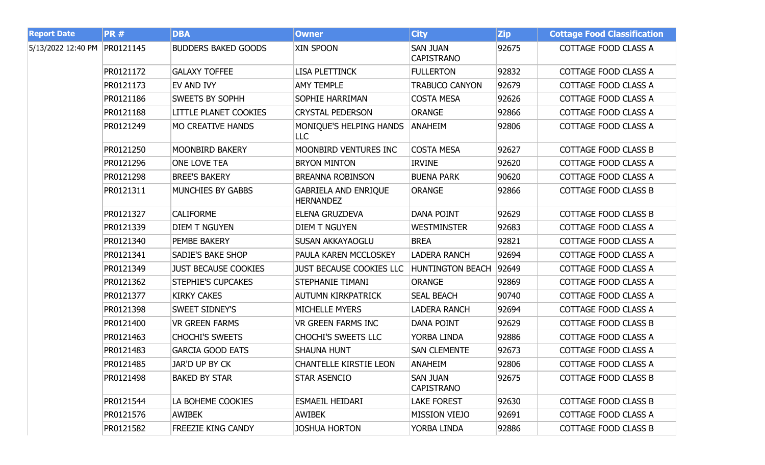| <b>Report Date</b> | <b>PR#</b> | <b>DBA</b>                   | <b>Owner</b>                                    | <b>City</b>                          | <b>Zip</b> | <b>Cottage Food Classification</b> |
|--------------------|------------|------------------------------|-------------------------------------------------|--------------------------------------|------------|------------------------------------|
| 5/13/2022 12:40 PM | PR0121145  | <b>BUDDERS BAKED GOODS</b>   | XIN SPOON                                       | <b>SAN JUAN</b><br><b>CAPISTRANO</b> | 92675      | COTTAGE FOOD CLASS A               |
|                    | PR0121172  | <b>GALAXY TOFFEE</b>         | <b>LISA PLETTINCK</b>                           | <b>FULLERTON</b>                     | 92832      | COTTAGE FOOD CLASS A               |
|                    | PR0121173  | EV AND IVY                   | <b>AMY TEMPLE</b>                               | <b>TRABUCO CANYON</b>                | 92679      | COTTAGE FOOD CLASS A               |
|                    | PR0121186  | <b>SWEETS BY SOPHH</b>       | <b>SOPHIE HARRIMAN</b>                          | <b>COSTA MESA</b>                    | 92626      | COTTAGE FOOD CLASS A               |
|                    | PR0121188  | <b>LITTLE PLANET COOKIES</b> | <b>CRYSTAL PEDERSON</b>                         | <b>ORANGE</b>                        | 92866      | COTTAGE FOOD CLASS A               |
|                    | PR0121249  | <b>MO CREATIVE HANDS</b>     | MONIQUE'S HELPING HANDS<br>LLC.                 | <b>ANAHEIM</b>                       | 92806      | COTTAGE FOOD CLASS A               |
|                    | PR0121250  | MOONBIRD BAKERY              | MOONBIRD VENTURES INC                           | <b>COSTA MESA</b>                    | 92627      | <b>COTTAGE FOOD CLASS B</b>        |
|                    | PR0121296  | <b>ONE LOVE TEA</b>          | <b>BRYON MINTON</b>                             | <b>IRVINE</b>                        | 92620      | COTTAGE FOOD CLASS A               |
|                    | PR0121298  | <b>BREE'S BAKERY</b>         | <b>BREANNA ROBINSON</b>                         | <b>BUENA PARK</b>                    | 90620      | <b>COTTAGE FOOD CLASS A</b>        |
|                    | PR0121311  | <b>MUNCHIES BY GABBS</b>     | <b>GABRIELA AND ENRIQUE</b><br><b>HERNANDEZ</b> | <b>ORANGE</b>                        | 92866      | <b>COTTAGE FOOD CLASS B</b>        |
|                    | PR0121327  | <b>CALIFORME</b>             | ELENA GRUZDEVA                                  | <b>DANA POINT</b>                    | 92629      | <b>COTTAGE FOOD CLASS B</b>        |
|                    | PR0121339  | <b>DIEM T NGUYEN</b>         | <b>DIEM T NGUYEN</b>                            | <b>WESTMINSTER</b>                   | 92683      | COTTAGE FOOD CLASS A               |
|                    | PR0121340  | <b>PEMBE BAKERY</b>          | <b>SUSAN AKKAYAOGLU</b>                         | <b>BREA</b>                          | 92821      | COTTAGE FOOD CLASS A               |
|                    | PR0121341  | <b>SADIE'S BAKE SHOP</b>     | PAULA KAREN MCCLOSKEY                           | <b>LADERA RANCH</b>                  | 92694      | COTTAGE FOOD CLASS A               |
|                    | PR0121349  | <b>JUST BECAUSE COOKIES</b>  | <b>JUST BECAUSE COOKIES LLC</b>                 | <b>HUNTINGTON BEACH</b>              | 92649      | COTTAGE FOOD CLASS A               |
|                    | PR0121362  | <b>STEPHIE'S CUPCAKES</b>    | <b>STEPHANIE TIMANI</b>                         | <b>ORANGE</b>                        | 92869      | COTTAGE FOOD CLASS A               |
|                    | PR0121377  | <b>KIRKY CAKES</b>           | <b>AUTUMN KIRKPATRICK</b>                       | <b>SEAL BEACH</b>                    | 90740      | COTTAGE FOOD CLASS A               |
|                    | PR0121398  | <b>SWEET SIDNEY'S</b>        | <b>MICHELLE MYERS</b>                           | <b>LADERA RANCH</b>                  | 92694      | COTTAGE FOOD CLASS A               |
|                    | PR0121400  | <b>VR GREEN FARMS</b>        | <b>VR GREEN FARMS INC</b>                       | <b>DANA POINT</b>                    | 92629      | <b>COTTAGE FOOD CLASS B</b>        |
|                    | PR0121463  | <b>CHOCHI'S SWEETS</b>       | <b>CHOCHI'S SWEETS LLC</b>                      | YORBA LINDA                          | 92886      | COTTAGE FOOD CLASS A               |
|                    | PR0121483  | <b>GARCIA GOOD EATS</b>      | <b>SHAUNA HUNT</b>                              | <b>SAN CLEMENTE</b>                  | 92673      | <b>COTTAGE FOOD CLASS A</b>        |
|                    | PR0121485  | JAR'D UP BY CK               | <b>CHANTELLE KIRSTIE LEON</b>                   | <b>ANAHEIM</b>                       | 92806      | COTTAGE FOOD CLASS A               |
|                    | PR0121498  | <b>BAKED BY STAR</b>         | <b>STAR ASENCIO</b>                             | <b>SAN JUAN</b><br><b>CAPISTRANO</b> | 92675      | <b>COTTAGE FOOD CLASS B</b>        |
|                    | PR0121544  | LA BOHEME COOKIES            | ESMAEIL HEIDARI                                 | <b>LAKE FOREST</b>                   | 92630      | COTTAGE FOOD CLASS B               |
|                    | PR0121576  | <b>AWIBEK</b>                | <b>AWIBEK</b>                                   | <b>MISSION VIEJO</b>                 | 92691      | COTTAGE FOOD CLASS A               |
|                    | PR0121582  | <b>FREEZIE KING CANDY</b>    | <b>JOSHUA HORTON</b>                            | YORBA LINDA                          | 92886      | COTTAGE FOOD CLASS B               |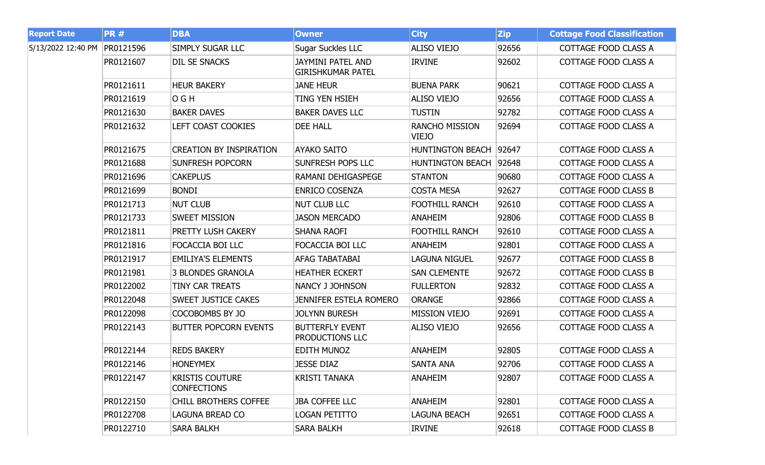| <b>Report Date</b> | <b>PR#</b> | <b>DBA</b>                                   | <b>Owner</b>                                         | <b>City</b>                    | <b>Zip</b> | <b>Cottage Food Classification</b> |
|--------------------|------------|----------------------------------------------|------------------------------------------------------|--------------------------------|------------|------------------------------------|
| 5/13/2022 12:40 PM | PR0121596  | <b>SIMPLY SUGAR LLC</b>                      | <b>Sugar Suckles LLC</b>                             | <b>ALISO VIEJO</b>             | 92656      | COTTAGE FOOD CLASS A               |
|                    | PR0121607  | <b>DIL SE SNACKS</b>                         | <b>JAYMINI PATEL AND</b><br><b>GIRISHKUMAR PATEL</b> | <b>IRVINE</b>                  | 92602      | COTTAGE FOOD CLASS A               |
|                    | PR0121611  | <b>HEUR BAKERY</b>                           | <b>JANE HEUR</b>                                     | <b>BUENA PARK</b>              | 90621      | COTTAGE FOOD CLASS A               |
|                    | PR0121619  | O G H                                        | TING YEN HSIEH                                       | <b>ALISO VIEJO</b>             | 92656      | COTTAGE FOOD CLASS A               |
|                    | PR0121630  | <b>BAKER DAVES</b>                           | <b>BAKER DAVES LLC</b>                               | <b>TUSTIN</b>                  | 92782      | COTTAGE FOOD CLASS A               |
|                    | PR0121632  | <b>LEFT COAST COOKIES</b>                    | <b>DEE HALL</b>                                      | <b>RANCHO MISSION</b><br>VIEJO | 92694      | COTTAGE FOOD CLASS A               |
|                    | PR0121675  | <b>CREATION BY INSPIRATION</b>               | <b>AYAKO SAITO</b>                                   | <b>HUNTINGTON BEACH</b>        | 92647      | COTTAGE FOOD CLASS A               |
|                    | PR0121688  | <b>SUNFRESH POPCORN</b>                      | <b>SUNFRESH POPS LLC</b>                             | <b>HUNTINGTON BEACH</b>        | 92648      | COTTAGE FOOD CLASS A               |
|                    | PR0121696  | <b>CAKEPLUS</b>                              | RAMANI DEHIGASPEGE                                   | <b>STANTON</b>                 | 90680      | COTTAGE FOOD CLASS A               |
|                    | PR0121699  | <b>BONDI</b>                                 | <b>ENRICO COSENZA</b>                                | <b>COSTA MESA</b>              | 92627      | <b>COTTAGE FOOD CLASS B</b>        |
|                    | PR0121713  | <b>NUT CLUB</b>                              | <b>NUT CLUB LLC</b>                                  | <b>FOOTHILL RANCH</b>          | 92610      | COTTAGE FOOD CLASS A               |
|                    | PR0121733  | <b>SWEET MISSION</b>                         | <b>JASON MERCADO</b>                                 | <b>ANAHEIM</b>                 | 92806      | <b>COTTAGE FOOD CLASS B</b>        |
|                    | PR0121811  | PRETTY LUSH CAKERY                           | <b>SHANA RAOFI</b>                                   | <b>FOOTHILL RANCH</b>          | 92610      | COTTAGE FOOD CLASS A               |
|                    | PR0121816  | FOCACCIA BOI LLC                             | FOCACCIA BOI LLC                                     | <b>ANAHEIM</b>                 | 92801      | <b>COTTAGE FOOD CLASS A</b>        |
|                    | PR0121917  | <b>EMILIYA'S ELEMENTS</b>                    | AFAG TABATABAI                                       | <b>LAGUNA NIGUEL</b>           | 92677      | <b>COTTAGE FOOD CLASS B</b>        |
|                    | PR0121981  | <b>3 BLONDES GRANOLA</b>                     | <b>HEATHER ECKERT</b>                                | <b>SAN CLEMENTE</b>            | 92672      | <b>COTTAGE FOOD CLASS B</b>        |
|                    | PR0122002  | TINY CAR TREATS                              | NANCY J JOHNSON                                      | <b>FULLERTON</b>               | 92832      | COTTAGE FOOD CLASS A               |
|                    | PR0122048  | <b>SWEET JUSTICE CAKES</b>                   | <b>JENNIFER ESTELA ROMERO</b>                        | <b>ORANGE</b>                  | 92866      | COTTAGE FOOD CLASS A               |
|                    | PR0122098  | COCOBOMBS BY JO                              | <b>JOLYNN BURESH</b>                                 | <b>MISSION VIEJO</b>           | 92691      | COTTAGE FOOD CLASS A               |
|                    | PR0122143  | <b>BUTTER POPCORN EVENTS</b>                 | <b>BUTTERFLY EVENT</b><br>PRODUCTIONS LLC            | ALISO VIEJO                    | 92656      | COTTAGE FOOD CLASS A               |
|                    | PR0122144  | <b>REDS BAKERY</b>                           | EDITH MUNOZ                                          | <b>ANAHEIM</b>                 | 92805      | COTTAGE FOOD CLASS A               |
|                    | PR0122146  | <b>HONEYMEX</b>                              | <b>JESSE DIAZ</b>                                    | <b>SANTA ANA</b>               | 92706      | COTTAGE FOOD CLASS A               |
|                    | PR0122147  | <b>KRISTIS COUTURE</b><br><b>CONFECTIONS</b> | <b>KRISTI TANAKA</b>                                 | <b>ANAHEIM</b>                 | 92807      | COTTAGE FOOD CLASS A               |
|                    | PR0122150  | <b>CHILL BROTHERS COFFEE</b>                 | <b>JBA COFFEE LLC</b>                                | <b>ANAHEIM</b>                 | 92801      | COTTAGE FOOD CLASS A               |
|                    | PR0122708  | LAGUNA BREAD CO                              | LOGAN PETITTO                                        | <b>LAGUNA BEACH</b>            | 92651      | COTTAGE FOOD CLASS A               |
|                    | PR0122710  | <b>SARA BALKH</b>                            | <b>SARA BALKH</b>                                    | <b>IRVINE</b>                  | 92618      | COTTAGE FOOD CLASS B               |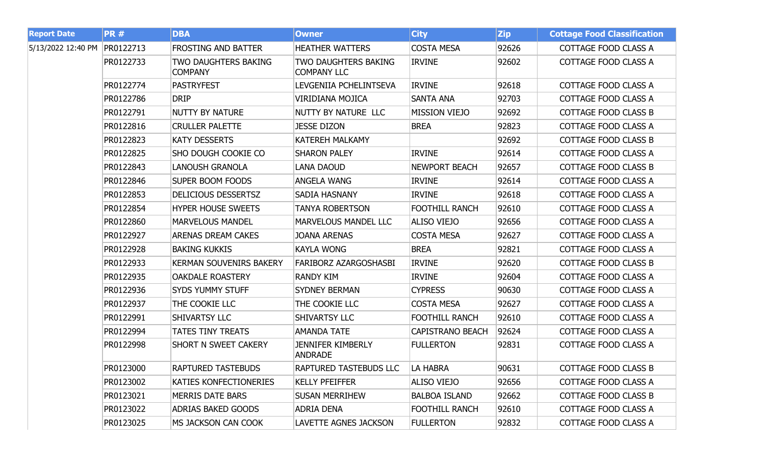| <b>Report Date</b> | <b>PR#</b> | <b>DBA</b>                                    | <b>Owner</b>                                      | <b>City</b>             | <b>Zip</b> | <b>Cottage Food Classification</b> |
|--------------------|------------|-----------------------------------------------|---------------------------------------------------|-------------------------|------------|------------------------------------|
| 5/13/2022 12:40 PM | PR0122713  | <b>FROSTING AND BATTER</b>                    | <b>HEATHER WATTERS</b>                            | <b>COSTA MESA</b>       | 92626      | COTTAGE FOOD CLASS A               |
|                    | PR0122733  | <b>TWO DAUGHTERS BAKING</b><br><b>COMPANY</b> | <b>TWO DAUGHTERS BAKING</b><br><b>COMPANY LLC</b> | <b>IRVINE</b>           | 92602      | COTTAGE FOOD CLASS A               |
|                    | PR0122774  | <b>PASTRYFEST</b>                             | LEVGENIIA PCHELINTSEVA                            | <b>IRVINE</b>           | 92618      | COTTAGE FOOD CLASS A               |
|                    | PR0122786  | <b>DRIP</b>                                   | VIRIDIANA MOJICA                                  | <b>SANTA ANA</b>        | 92703      | COTTAGE FOOD CLASS A               |
|                    | PR0122791  | <b>NUTTY BY NATURE</b>                        | NUTTY BY NATURE LLC                               | <b>MISSION VIEJO</b>    | 92692      | <b>COTTAGE FOOD CLASS B</b>        |
|                    | PR0122816  | <b>CRULLER PALETTE</b>                        | <b>JESSE DIZON</b>                                | <b>BREA</b>             | 92823      | COTTAGE FOOD CLASS A               |
|                    | PR0122823  | <b>KATY DESSERTS</b>                          | <b>KATEREH MALKAMY</b>                            |                         | 92692      | <b>COTTAGE FOOD CLASS B</b>        |
|                    | PR0122825  | <b>SHO DOUGH COOKIE CO</b>                    | <b>SHARON PALEY</b>                               | <b>IRVINE</b>           | 92614      | COTTAGE FOOD CLASS A               |
|                    | PR0122843  | <b>LANOUSH GRANOLA</b>                        | <b>LANA DAOUD</b>                                 | NEWPORT BEACH           | 92657      | <b>COTTAGE FOOD CLASS B</b>        |
|                    | PR0122846  | <b>SUPER BOOM FOODS</b>                       | <b>ANGELA WANG</b>                                | <b>IRVINE</b>           | 92614      | COTTAGE FOOD CLASS A               |
|                    | PR0122853  | <b>DELICIOUS DESSERTSZ</b>                    | <b>SADIA HASNANY</b>                              | <b>IRVINE</b>           | 92618      | COTTAGE FOOD CLASS A               |
|                    | PR0122854  | <b>HYPER HOUSE SWEETS</b>                     | <b>TANYA ROBERTSON</b>                            | FOOTHILL RANCH          | 92610      | COTTAGE FOOD CLASS A               |
|                    | PR0122860  | <b>MARVELOUS MANDEL</b>                       | <b>MARVELOUS MANDEL LLC</b>                       | <b>ALISO VIEJO</b>      | 92656      | COTTAGE FOOD CLASS A               |
|                    | PR0122927  | <b>ARENAS DREAM CAKES</b>                     | <b>JOANA ARENAS</b>                               | <b>COSTA MESA</b>       | 92627      | COTTAGE FOOD CLASS A               |
|                    | PR0122928  | <b>BAKING KUKKIS</b>                          | <b>KAYLA WONG</b>                                 | <b>BREA</b>             | 92821      | COTTAGE FOOD CLASS A               |
|                    | PR0122933  | <b>KERMAN SOUVENIRS BAKERY</b>                | <b>FARIBORZ AZARGOSHASBI</b>                      | <b>IRVINE</b>           | 92620      | <b>COTTAGE FOOD CLASS B</b>        |
|                    | PR0122935  | <b>OAKDALE ROASTERY</b>                       | <b>RANDY KIM</b>                                  | <b>IRVINE</b>           | 92604      | COTTAGE FOOD CLASS A               |
|                    | PR0122936  | <b>SYDS YUMMY STUFF</b>                       | <b>SYDNEY BERMAN</b>                              | <b>CYPRESS</b>          | 90630      | COTTAGE FOOD CLASS A               |
|                    | PR0122937  | THE COOKIE LLC                                | THE COOKIE LLC                                    | <b>COSTA MESA</b>       | 92627      | COTTAGE FOOD CLASS A               |
|                    | PR0122991  | <b>SHIVARTSY LLC</b>                          | <b>SHIVARTSY LLC</b>                              | FOOTHILL RANCH          | 92610      | COTTAGE FOOD CLASS A               |
|                    | PR0122994  | <b>TATES TINY TREATS</b>                      | <b>AMANDA TATE</b>                                | <b>CAPISTRANO BEACH</b> | 92624      | COTTAGE FOOD CLASS A               |
|                    | PR0122998  | <b>SHORT N SWEET CAKERY</b>                   | JENNIFER KIMBERLY<br><b>ANDRADE</b>               | <b>FULLERTON</b>        | 92831      | COTTAGE FOOD CLASS A               |
|                    | PR0123000  | <b>RAPTURED TASTEBUDS</b>                     | <b>RAPTURED TASTEBUDS LLC</b>                     | LA HABRA                | 90631      | <b>COTTAGE FOOD CLASS B</b>        |
|                    | PR0123002  | <b>KATIES KONFECTIONERIES</b>                 | <b>KELLY PFEIFFER</b>                             | <b>ALISO VIEJO</b>      | 92656      | COTTAGE FOOD CLASS A               |
|                    | PR0123021  | <b>MERRIS DATE BARS</b>                       | <b>SUSAN MERRIHEW</b>                             | <b>BALBOA ISLAND</b>    | 92662      | COTTAGE FOOD CLASS B               |
|                    | PR0123022  | <b>ADRIAS BAKED GOODS</b>                     | <b>ADRIA DENA</b>                                 | <b>FOOTHILL RANCH</b>   | 92610      | COTTAGE FOOD CLASS A               |
|                    | PR0123025  | MS JACKSON CAN COOK                           | <b>LAVETTE AGNES JACKSON</b>                      | <b>FULLERTON</b>        | 92832      | COTTAGE FOOD CLASS A               |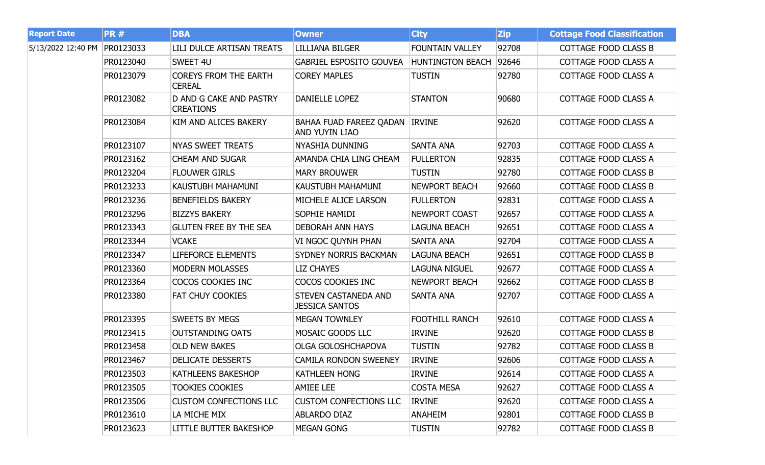| <b>Report Date</b> | <b>PR#</b> | <b>DBA</b>                                         | <b>Owner</b>                                            | <b>City</b>             | <b>Zip</b> | <b>Cottage Food Classification</b> |
|--------------------|------------|----------------------------------------------------|---------------------------------------------------------|-------------------------|------------|------------------------------------|
| 5/13/2022 12:40 PM | PR0123033  | <b>LILI DULCE ARTISAN TREATS</b>                   | <b>LILLIANA BILGER</b>                                  | <b>FOUNTAIN VALLEY</b>  | 92708      | <b>COTTAGE FOOD CLASS B</b>        |
|                    | PR0123040  | SWEET 4U                                           | <b>GABRIEL ESPOSITO GOUVEA</b>                          | <b>HUNTINGTON BEACH</b> | 92646      | COTTAGE FOOD CLASS A               |
|                    | PR0123079  | <b>COREYS FROM THE EARTH</b><br><b>CEREAL</b>      | <b>COREY MAPLES</b>                                     | <b>TUSTIN</b>           | 92780      | COTTAGE FOOD CLASS A               |
|                    | PR0123082  | <b>D AND G CAKE AND PASTRY</b><br><b>CREATIONS</b> | <b>DANIELLE LOPEZ</b>                                   | <b>STANTON</b>          | 90680      | COTTAGE FOOD CLASS A               |
|                    | PR0123084  | KIM AND ALICES BAKERY                              | BAHAA FUAD FAREEZ QADAN IRVINE<br><b>AND YUYIN LIAO</b> |                         | 92620      | COTTAGE FOOD CLASS A               |
|                    | PR0123107  | <b>NYAS SWEET TREATS</b>                           | NYASHIA DUNNING                                         | <b>SANTA ANA</b>        | 92703      | <b>COTTAGE FOOD CLASS A</b>        |
|                    | PR0123162  | <b>CHEAM AND SUGAR</b>                             | AMANDA CHIA LING CHEAM                                  | <b>FULLERTON</b>        | 92835      | COTTAGE FOOD CLASS A               |
|                    | PR0123204  | <b>FLOUWER GIRLS</b>                               | <b>MARY BROUWER</b>                                     | <b>TUSTIN</b>           | 92780      | COTTAGE FOOD CLASS B               |
|                    | PR0123233  | KAUSTUBH MAHAMUNI                                  | KAUSTUBH MAHAMUNI                                       | NEWPORT BEACH           | 92660      | <b>COTTAGE FOOD CLASS B</b>        |
|                    | PR0123236  | <b>BENEFIELDS BAKERY</b>                           | MICHELE ALICE LARSON                                    | <b>FULLERTON</b>        | 92831      | <b>COTTAGE FOOD CLASS A</b>        |
|                    | PR0123296  | <b>BIZZYS BAKERY</b>                               | SOPHIE HAMIDI                                           | NEWPORT COAST           | 92657      | COTTAGE FOOD CLASS A               |
|                    | PR0123343  | <b>GLUTEN FREE BY THE SEA</b>                      | <b>DEBORAH ANN HAYS</b>                                 | LAGUNA BEACH            | 92651      | COTTAGE FOOD CLASS A               |
|                    | PR0123344  | <b>VCAKE</b>                                       | VI NGOC QUYNH PHAN                                      | <b>SANTA ANA</b>        | 92704      | COTTAGE FOOD CLASS A               |
|                    | PR0123347  | LIFEFORCE ELEMENTS                                 | SYDNEY NORRIS BACKMAN                                   | LAGUNA BEACH            | 92651      | <b>COTTAGE FOOD CLASS B</b>        |
|                    | PR0123360  | <b>MODERN MOLASSES</b>                             | <b>LIZ CHAYES</b>                                       | LAGUNA NIGUEL           | 92677      | <b>COTTAGE FOOD CLASS A</b>        |
|                    | PR0123364  | COCOS COOKIES INC                                  | COCOS COOKIES INC                                       | <b>NEWPORT BEACH</b>    | 92662      | COTTAGE FOOD CLASS B               |
|                    | PR0123380  | FAT CHUY COOKIES                                   | STEVEN CASTANEDA AND<br><b>JESSICA SANTOS</b>           | <b>SANTA ANA</b>        | 92707      | COTTAGE FOOD CLASS A               |
|                    | PR0123395  | <b>SWEETS BY MEGS</b>                              | <b>MEGAN TOWNLEY</b>                                    | <b>FOOTHILL RANCH</b>   | 92610      | <b>COTTAGE FOOD CLASS A</b>        |
|                    | PR0123415  | <b>OUTSTANDING OATS</b>                            | MOSAIC GOODS LLC                                        | <b>IRVINE</b>           | 92620      | COTTAGE FOOD CLASS B               |
|                    | PR0123458  | <b>OLD NEW BAKES</b>                               | <b>OLGA GOLOSHCHAPOVA</b>                               | <b>TUSTIN</b>           | 92782      | <b>COTTAGE FOOD CLASS B</b>        |
|                    | PR0123467  | <b>DELICATE DESSERTS</b>                           | <b>CAMILA RONDON SWEENEY</b>                            | <b>IRVINE</b>           | 92606      | COTTAGE FOOD CLASS A               |
|                    | PR0123503  | <b>KATHLEENS BAKESHOP</b>                          | <b>KATHLEEN HONG</b>                                    | <b>IRVINE</b>           | 92614      | COTTAGE FOOD CLASS A               |
|                    | PR0123505  | <b>TOOKIES COOKIES</b>                             | <b>AMIEE LEE</b>                                        | <b>COSTA MESA</b>       | 92627      | COTTAGE FOOD CLASS A               |
|                    | PR0123506  | <b>CUSTOM CONFECTIONS LLC</b>                      | <b>CUSTOM CONFECTIONS LLC</b>                           | <b>IRVINE</b>           | 92620      | COTTAGE FOOD CLASS A               |
|                    | PR0123610  | LA MICHE MIX                                       | <b>ABLARDO DIAZ</b>                                     | ANAHEIM                 | 92801      | <b>COTTAGE FOOD CLASS B</b>        |
|                    | PR0123623  | <b>LITTLE BUTTER BAKESHOP</b>                      | <b>MEGAN GONG</b>                                       | <b>TUSTIN</b>           | 92782      | COTTAGE FOOD CLASS B               |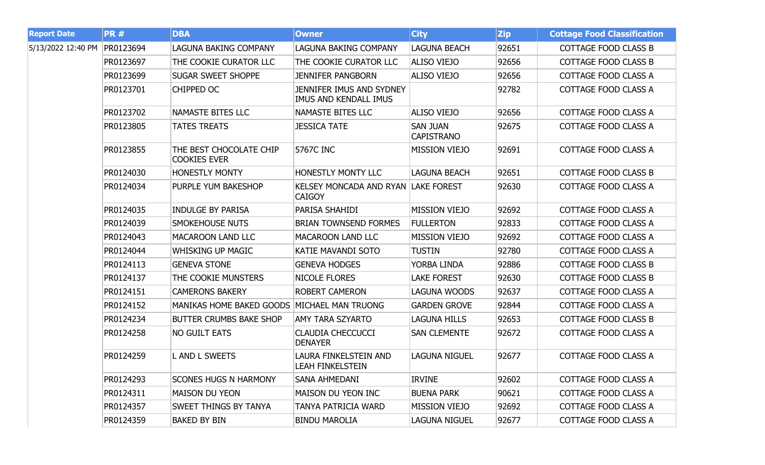| <b>Report Date</b> | <b>PR#</b> | <b>DBA</b>                                     | <b>Owner</b>                                         | <b>City</b>                          | <b>Zip</b> | <b>Cottage Food Classification</b> |
|--------------------|------------|------------------------------------------------|------------------------------------------------------|--------------------------------------|------------|------------------------------------|
| 5/13/2022 12:40 PM | PR0123694  | LAGUNA BAKING COMPANY                          | LAGUNA BAKING COMPANY                                | <b>LAGUNA BEACH</b>                  | 92651      | <b>COTTAGE FOOD CLASS B</b>        |
|                    | PR0123697  | THE COOKIE CURATOR LLC                         | THE COOKIE CURATOR LLC                               | <b>ALISO VIEJO</b>                   | 92656      | COTTAGE FOOD CLASS B               |
|                    | PR0123699  | <b>SUGAR SWEET SHOPPE</b>                      | <b>JENNIFER PANGBORN</b>                             | <b>ALISO VIEJO</b>                   | 92656      | COTTAGE FOOD CLASS A               |
|                    | PR0123701  | CHIPPED OC                                     | JENNIFER IMUS AND SYDNEY<br>IMUS AND KENDALL IMUS    |                                      | 92782      | COTTAGE FOOD CLASS A               |
|                    | PR0123702  | <b>NAMASTE BITES LLC</b>                       | NAMASTE BITES LLC                                    | <b>ALISO VIEJO</b>                   | 92656      | COTTAGE FOOD CLASS A               |
|                    | PR0123805  | <b>TATES TREATS</b>                            | <b>JESSICA TATE</b>                                  | <b>SAN JUAN</b><br><b>CAPISTRANO</b> | 92675      | COTTAGE FOOD CLASS A               |
|                    | PR0123855  | THE BEST CHOCOLATE CHIP<br><b>COOKIES EVER</b> | 5767C INC                                            | <b>MISSION VIEJO</b>                 | 92691      | COTTAGE FOOD CLASS A               |
|                    | PR0124030  | <b>HONESTLY MONTY</b>                          | <b>HONESTLY MONTY LLC</b>                            | <b>LAGUNA BEACH</b>                  | 92651      | <b>COTTAGE FOOD CLASS B</b>        |
|                    | PR0124034  | <b>PURPLE YUM BAKESHOP</b>                     | KELSEY MONCADA AND RYAN LAKE FOREST<br><b>CAIGOY</b> |                                      | 92630      | COTTAGE FOOD CLASS A               |
|                    | PR0124035  | <b>INDULGE BY PARISA</b>                       | PARISA SHAHIDI                                       | <b>MISSION VIEJO</b>                 | 92692      | COTTAGE FOOD CLASS A               |
|                    | PR0124039  | <b>SMOKEHOUSE NUTS</b>                         | <b>BRIAN TOWNSEND FORMES</b>                         | <b>FULLERTON</b>                     | 92833      | COTTAGE FOOD CLASS A               |
|                    | PR0124043  | <b>MACAROON LAND LLC</b>                       | <b>MACAROON LAND LLC</b>                             | <b>MISSION VIEJO</b>                 | 92692      | COTTAGE FOOD CLASS A               |
|                    | PR0124044  | <b>WHISKING UP MAGIC</b>                       | KATIE MAVANDI SOTO                                   | <b>TUSTIN</b>                        | 92780      | COTTAGE FOOD CLASS A               |
|                    | PR0124113  | <b>GENEVA STONE</b>                            | <b>GENEVA HODGES</b>                                 | YORBA LINDA                          | 92886      | <b>COTTAGE FOOD CLASS B</b>        |
|                    | PR0124137  | THE COOKIE MUNSTERS                            | <b>NICOLE FLORES</b>                                 | <b>LAKE FOREST</b>                   | 92630      | <b>COTTAGE FOOD CLASS B</b>        |
|                    | PR0124151  | <b>CAMERONS BAKERY</b>                         | <b>ROBERT CAMERON</b>                                | LAGUNA WOODS                         | 92637      | COTTAGE FOOD CLASS A               |
|                    | PR0124152  | <b>MANIKAS HOME BAKED GOODS</b>                | MICHAEL MAN TRUONG                                   | <b>GARDEN GROVE</b>                  | 92844      | COTTAGE FOOD CLASS A               |
|                    | PR0124234  | <b>BUTTER CRUMBS BAKE SHOP</b>                 | <b>AMY TARA SZYARTO</b>                              | <b>LAGUNA HILLS</b>                  | 92653      | <b>COTTAGE FOOD CLASS B</b>        |
|                    | PR0124258  | <b>NO GUILT EATS</b>                           | <b>CLAUDIA CHECCUCCI</b><br><b>DENAYER</b>           | <b>SAN CLEMENTE</b>                  | 92672      | COTTAGE FOOD CLASS A               |
|                    | PR0124259  | L AND L SWEETS                                 | LAURA FINKELSTEIN AND<br>LEAH FINKELSTEIN            | <b>LAGUNA NIGUEL</b>                 | 92677      | COTTAGE FOOD CLASS A               |
|                    | PR0124293  | <b>SCONES HUGS N HARMONY</b>                   | SANA AHMEDANI                                        | <b>IRVINE</b>                        | 92602      | COTTAGE FOOD CLASS A               |
|                    | PR0124311  | <b>MAISON DU YEON</b>                          | <b>MAISON DU YEON INC</b>                            | <b>BUENA PARK</b>                    | 90621      | COTTAGE FOOD CLASS A               |
|                    | PR0124357  | <b>SWEET THINGS BY TANYA</b>                   | TANYA PATRICIA WARD                                  | <b>MISSION VIEJO</b>                 | 92692      | COTTAGE FOOD CLASS A               |
|                    | PR0124359  | <b>BAKED BY BIN</b>                            | <b>BINDU MAROLIA</b>                                 | LAGUNA NIGUEL                        | 92677      | COTTAGE FOOD CLASS A               |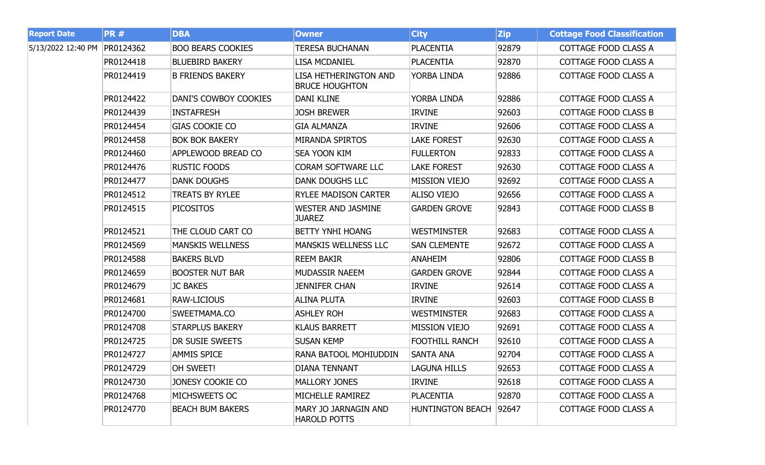| <b>Report Date</b> | <b>PR#</b> | <b>DBA</b>                | <b>Owner</b>                                       | <b>City</b>             | <b>Zip</b> | <b>Cottage Food Classification</b> |
|--------------------|------------|---------------------------|----------------------------------------------------|-------------------------|------------|------------------------------------|
| 5/13/2022 12:40 PM | PR0124362  | <b>BOO BEARS COOKIES</b>  | <b>TERESA BUCHANAN</b>                             | <b>PLACENTIA</b>        | 92879      | COTTAGE FOOD CLASS A               |
|                    | PR0124418  | <b>BLUEBIRD BAKERY</b>    | <b>LISA MCDANIEL</b>                               | <b>PLACENTIA</b>        | 92870      | COTTAGE FOOD CLASS A               |
|                    | PR0124419  | <b>B FRIENDS BAKERY</b>   | LISA HETHERINGTON AND<br><b>BRUCE HOUGHTON</b>     | YORBA LINDA             | 92886      | COTTAGE FOOD CLASS A               |
|                    | PR0124422  | DANI'S COWBOY COOKIES     | <b>DANI KLINE</b>                                  | YORBA LINDA             | 92886      | COTTAGE FOOD CLASS A               |
|                    | PR0124439  | <b>INSTAFRESH</b>         | <b>JOSH BREWER</b>                                 | <b>IRVINE</b>           | 92603      | <b>COTTAGE FOOD CLASS B</b>        |
|                    | PR0124454  | <b>GIAS COOKIE CO</b>     | <b>GIA ALMANZA</b>                                 | <b>IRVINE</b>           | 92606      | COTTAGE FOOD CLASS A               |
|                    | PR0124458  | <b>BOK BOK BAKERY</b>     | <b>MIRANDA SPIRTOS</b>                             | <b>LAKE FOREST</b>      | 92630      | COTTAGE FOOD CLASS A               |
|                    | PR0124460  | <b>APPLEWOOD BREAD CO</b> | <b>SEA YOON KIM</b>                                | <b>FULLERTON</b>        | 92833      | COTTAGE FOOD CLASS A               |
|                    | PR0124476  | <b>RUSTIC FOODS</b>       | <b>CORAM SOFTWARE LLC</b>                          | <b>LAKE FOREST</b>      | 92630      | COTTAGE FOOD CLASS A               |
|                    | PR0124477  | <b>DANK DOUGHS</b>        | <b>DANK DOUGHS LLC</b>                             | <b>MISSION VIEJO</b>    | 92692      | COTTAGE FOOD CLASS A               |
|                    | PR0124512  | <b>TREATS BY RYLEE</b>    | <b>RYLEE MADISON CARTER</b>                        | ALISO VIEJO             | 92656      | COTTAGE FOOD CLASS A               |
|                    | PR0124515  | <b>PICOSITOS</b>          | <b>WESTER AND JASMINE</b><br><b>JUAREZ</b>         | <b>GARDEN GROVE</b>     | 92843      | COTTAGE FOOD CLASS B               |
|                    | PR0124521  | THE CLOUD CART CO         | <b>BETTY YNHI HOANG</b>                            | <b>WESTMINSTER</b>      | 92683      | COTTAGE FOOD CLASS A               |
|                    | PR0124569  | <b>MANSKIS WELLNESS</b>   | <b>MANSKIS WELLNESS LLC</b>                        | <b>SAN CLEMENTE</b>     | 92672      | COTTAGE FOOD CLASS A               |
|                    | PR0124588  | <b>BAKERS BLVD</b>        | <b>REEM BAKIR</b>                                  | <b>ANAHEIM</b>          | 92806      | <b>COTTAGE FOOD CLASS B</b>        |
|                    | PR0124659  | <b>BOOSTER NUT BAR</b>    | MUDASSIR NAEEM                                     | <b>GARDEN GROVE</b>     | 92844      | COTTAGE FOOD CLASS A               |
|                    | PR0124679  | <b>JC BAKES</b>           | <b>JENNIFER CHAN</b>                               | <b>IRVINE</b>           | 92614      | COTTAGE FOOD CLASS A               |
|                    | PR0124681  | <b>RAW-LICIOUS</b>        | <b>ALINA PLUTA</b>                                 | <b>IRVINE</b>           | 92603      | <b>COTTAGE FOOD CLASS B</b>        |
|                    | PR0124700  | SWEETMAMA.CO              | <b>ASHLEY ROH</b>                                  | <b>WESTMINSTER</b>      | 92683      | COTTAGE FOOD CLASS A               |
|                    | PR0124708  | <b>STARPLUS BAKERY</b>    | <b>KLAUS BARRETT</b>                               | <b>MISSION VIEJO</b>    | 92691      | COTTAGE FOOD CLASS A               |
|                    | PR0124725  | <b>DR SUSIE SWEETS</b>    | <b>SUSAN KEMP</b>                                  | <b>FOOTHILL RANCH</b>   | 92610      | COTTAGE FOOD CLASS A               |
|                    | PR0124727  | <b>AMMIS SPICE</b>        | RANA BATOOL MOHIUDDIN                              | <b>SANTA ANA</b>        | 92704      | COTTAGE FOOD CLASS A               |
|                    | PR0124729  | OH SWEET!                 | <b>DIANA TENNANT</b>                               | <b>LAGUNA HILLS</b>     | 92653      | COTTAGE FOOD CLASS A               |
|                    | PR0124730  | JONESY COOKIE CO          | <b>MALLORY JONES</b>                               | <b>IRVINE</b>           | 92618      | COTTAGE FOOD CLASS A               |
|                    | PR0124768  | MICHSWEETS OC             | MICHELLE RAMIREZ                                   | <b>PLACENTIA</b>        | 92870      | COTTAGE FOOD CLASS A               |
|                    | PR0124770  | <b>BEACH BUM BAKERS</b>   | <b>MARY JO JARNAGIN AND</b><br><b>HAROLD POTTS</b> | <b>HUNTINGTON BEACH</b> | 92647      | COTTAGE FOOD CLASS A               |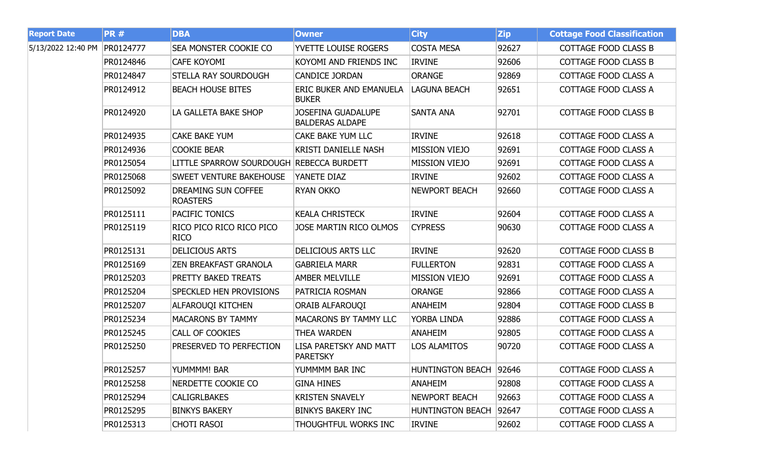| <b>Report Date</b> | <b>PR#</b> | <b>DBA</b>                                    | <b>Owner</b>                                        | <b>City</b>            | <b>Zip</b> | <b>Cottage Food Classification</b> |
|--------------------|------------|-----------------------------------------------|-----------------------------------------------------|------------------------|------------|------------------------------------|
| 5/13/2022 12:40 PM | PR0124777  | <b>SEA MONSTER COOKIE CO</b>                  | <b>YVETTE LOUISE ROGERS</b>                         | <b>COSTA MESA</b>      | 92627      | <b>COTTAGE FOOD CLASS B</b>        |
|                    | PR0124846  | <b>CAFE KOYOMI</b>                            | KOYOMI AND FRIENDS INC                              | <b>IRVINE</b>          | 92606      | COTTAGE FOOD CLASS B               |
|                    | PR0124847  | <b>STELLA RAY SOURDOUGH</b>                   | <b>CANDICE JORDAN</b>                               | <b>ORANGE</b>          | 92869      | COTTAGE FOOD CLASS A               |
|                    | PR0124912  | <b>BEACH HOUSE BITES</b>                      | ERIC BUKER AND EMANUELA<br><b>BUKER</b>             | <b>LAGUNA BEACH</b>    | 92651      | COTTAGE FOOD CLASS A               |
|                    | PR0124920  | LA GALLETA BAKE SHOP                          | <b>JOSEFINA GUADALUPE</b><br><b>BALDERAS ALDAPE</b> | <b>SANTA ANA</b>       | 92701      | <b>COTTAGE FOOD CLASS B</b>        |
|                    | PR0124935  | <b>CAKE BAKE YUM</b>                          | CAKE BAKE YUM LLC                                   | <b>IRVINE</b>          | 92618      | <b>COTTAGE FOOD CLASS A</b>        |
|                    | PR0124936  | <b>COOKIE BEAR</b>                            | <b>KRISTI DANIELLE NASH</b>                         | <b>MISSION VIEJO</b>   | 92691      | COTTAGE FOOD CLASS A               |
|                    | PR0125054  | LITTLE SPARROW SOURDOUGH REBECCA BURDETT      |                                                     | <b>MISSION VIEJO</b>   | 92691      | COTTAGE FOOD CLASS A               |
|                    | PR0125068  | <b>SWEET VENTURE BAKEHOUSE</b>                | YANETE DIAZ                                         | <b>IRVINE</b>          | 92602      | COTTAGE FOOD CLASS A               |
|                    | PR0125092  | <b>DREAMING SUN COFFEE</b><br><b>ROASTERS</b> | <b>RYAN OKKO</b>                                    | <b>NEWPORT BEACH</b>   | 92660      | COTTAGE FOOD CLASS A               |
|                    | PR0125111  | <b>PACIFIC TONICS</b>                         | <b>KEALA CHRISTECK</b>                              | <b>IRVINE</b>          | 92604      | COTTAGE FOOD CLASS A               |
|                    | PR0125119  | RICO PICO RICO RICO PICO<br><b>RICO</b>       | <b>JOSE MARTIN RICO OLMOS</b>                       | <b>CYPRESS</b>         | 90630      | COTTAGE FOOD CLASS A               |
|                    | PR0125131  | <b>DELICIOUS ARTS</b>                         | <b>DELICIOUS ARTS LLC</b>                           | <b>IRVINE</b>          | 92620      | <b>COTTAGE FOOD CLASS B</b>        |
|                    | PR0125169  | <b>ZEN BREAKFAST GRANOLA</b>                  | <b>GABRIELA MARR</b>                                | <b>FULLERTON</b>       | 92831      | COTTAGE FOOD CLASS A               |
|                    | PR0125203  | <b>PRETTY BAKED TREATS</b>                    | <b>AMBER MELVILLE</b>                               | <b>MISSION VIEJO</b>   | 92691      | COTTAGE FOOD CLASS A               |
|                    | PR0125204  | <b>SPECKLED HEN PROVISIONS</b>                | PATRICIA ROSMAN                                     | <b>ORANGE</b>          | 92866      | COTTAGE FOOD CLASS A               |
|                    | PR0125207  | <b>ALFAROUQI KITCHEN</b>                      | ORAIB ALFAROUQI                                     | <b>ANAHEIM</b>         | 92804      | <b>COTTAGE FOOD CLASS B</b>        |
|                    | PR0125234  | <b>MACARONS BY TAMMY</b>                      | <b>MACARONS BY TAMMY LLC</b>                        | YORBA LINDA            | 92886      | COTTAGE FOOD CLASS A               |
|                    | PR0125245  | <b>CALL OF COOKIES</b>                        | <b>THEA WARDEN</b>                                  | <b>ANAHEIM</b>         | 92805      | COTTAGE FOOD CLASS A               |
|                    | PR0125250  | PRESERVED TO PERFECTION                       | LISA PARETSKY AND MATT<br><b>PARETSKY</b>           | <b>LOS ALAMITOS</b>    | 90720      | COTTAGE FOOD CLASS A               |
|                    | PR0125257  | YUMMMM! BAR                                   | YUMMMM BAR INC                                      | HUNTINGTON BEACH 92646 |            | COTTAGE FOOD CLASS A               |
|                    | PR0125258  | NERDETTE COOKIE CO                            | GINA HINES                                          | <b>ANAHEIM</b>         | 92808      | COTTAGE FOOD CLASS A               |
|                    | PR0125294  | <b>CALIGRLBAKES</b>                           | <b>KRISTEN SNAVELY</b>                              | NEWPORT BEACH          | 92663      | COTTAGE FOOD CLASS A               |
|                    | PR0125295  | <b>BINKYS BAKERY</b>                          | <b>BINKYS BAKERY INC</b>                            | HUNTINGTON BEACH 92647 |            | COTTAGE FOOD CLASS A               |
|                    | PR0125313  | CHOTI RASOI                                   | THOUGHTFUL WORKS INC                                | <b>IRVINE</b>          | 92602      | COTTAGE FOOD CLASS A               |